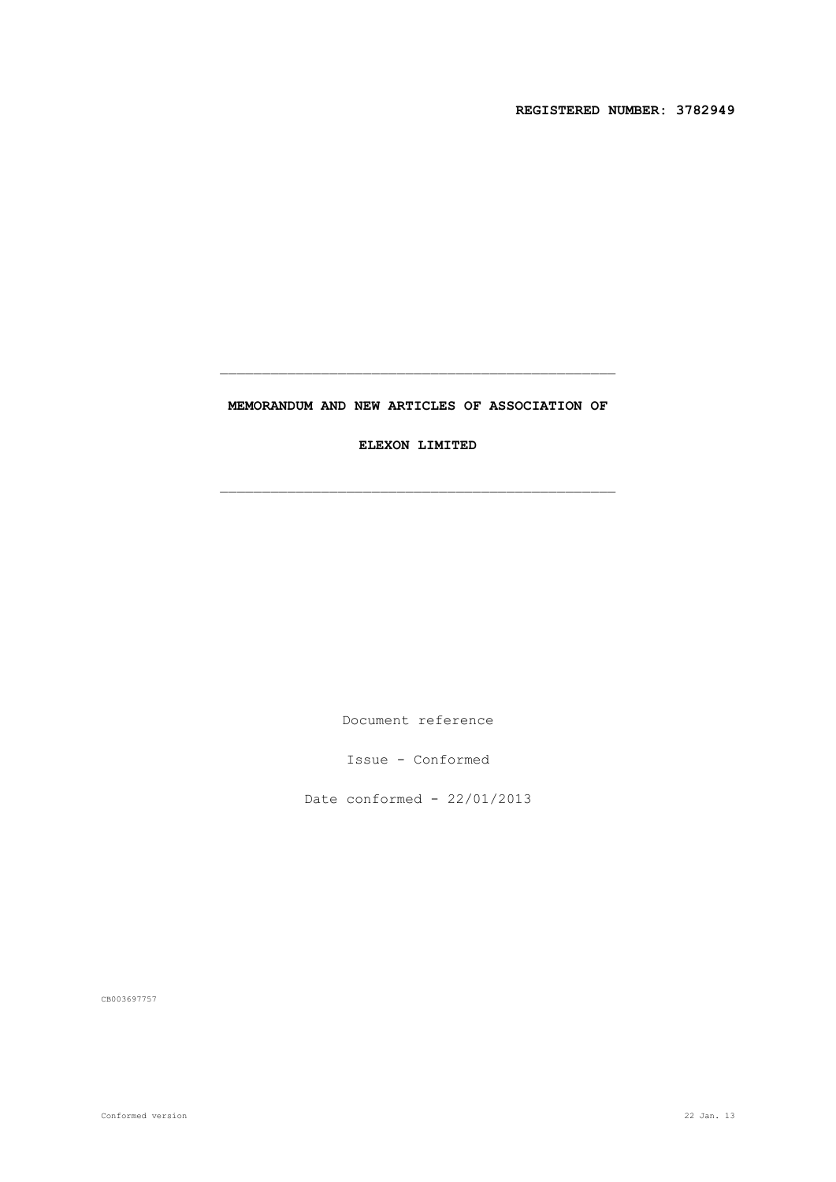**REGISTERED NUMBER: 3782949**

## **MEMORANDUM AND NEW ARTICLES OF ASSOCIATION OF**

**ELEXON LIMITED**

Document reference

Issue - Conformed

Date conformed - 22/01/2013

CB003697757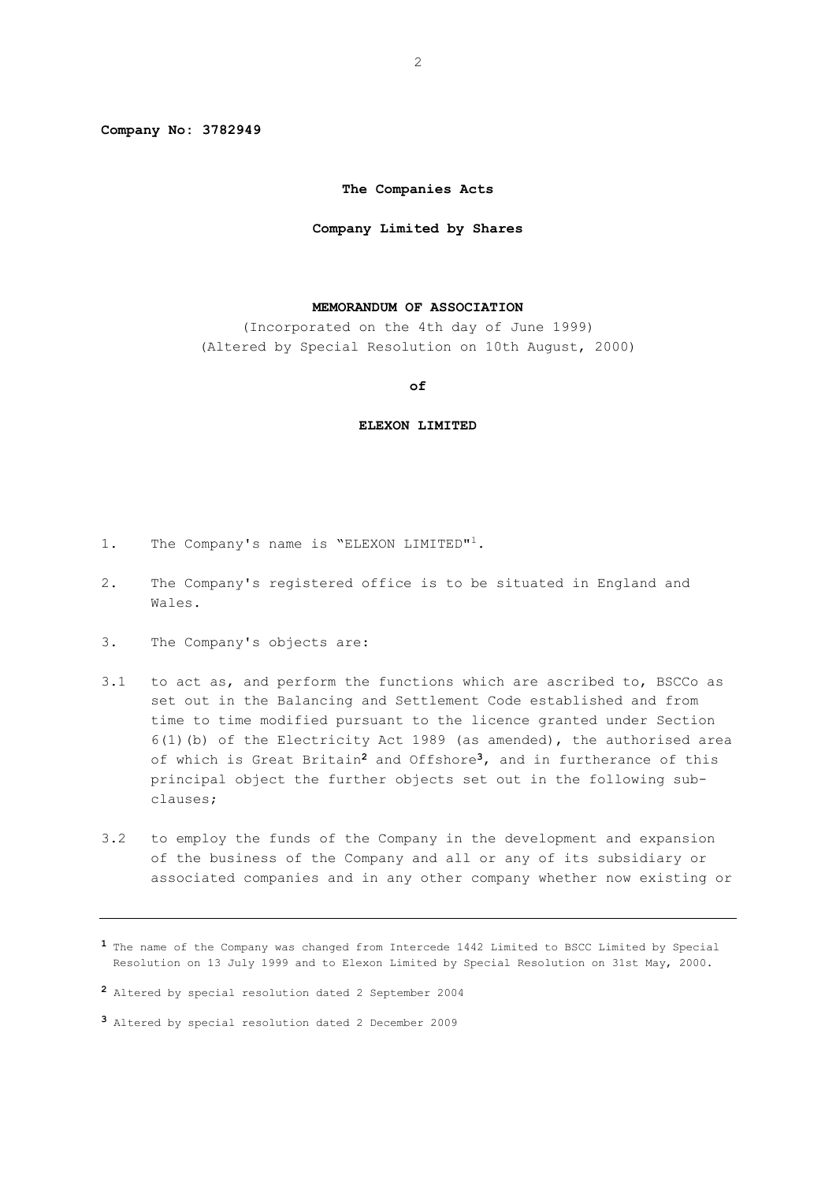**Company No: 3782949**

## **The Companies Acts**

#### **Company Limited by Shares**

#### **MEMORANDUM OF ASSOCIATION**

(Incorporated on the 4th day of June 1999) (Altered by Special Resolution on 10th August, 2000)

#### **of**

#### **ELEXON LIMITED**

- 1. The Company's name is "ELEXON LIMITED"<sup>1</sup>.
- 2. The Company's registered office is to be situated in England and Wales.
- 3. The Company's objects are:
- 3.1 to act as, and perform the functions which are ascribed to, BSCCo as set out in the Balancing and Settlement Code established and from time to time modified pursuant to the licence granted under Section 6(1)(b) of the Electricity Act 1989 (as amended), the authorised area of which is Great Britain**<sup>2</sup>** and Offshore**<sup>3</sup>**, and in furtherance of this principal object the further objects set out in the following subclauses;
- 3.2 to employ the funds of the Company in the development and expansion of the business of the Company and all or any of its subsidiary or associated companies and in any other company whether now existing or

**<sup>1</sup>** The name of the Company was changed from Intercede 1442 Limited to BSCC Limited by Special Resolution on 13 July 1999 and to Elexon Limited by Special Resolution on 31st May, 2000.

**<sup>2</sup>** Altered by special resolution dated 2 September 2004

**<sup>3</sup>** Altered by special resolution dated 2 December 2009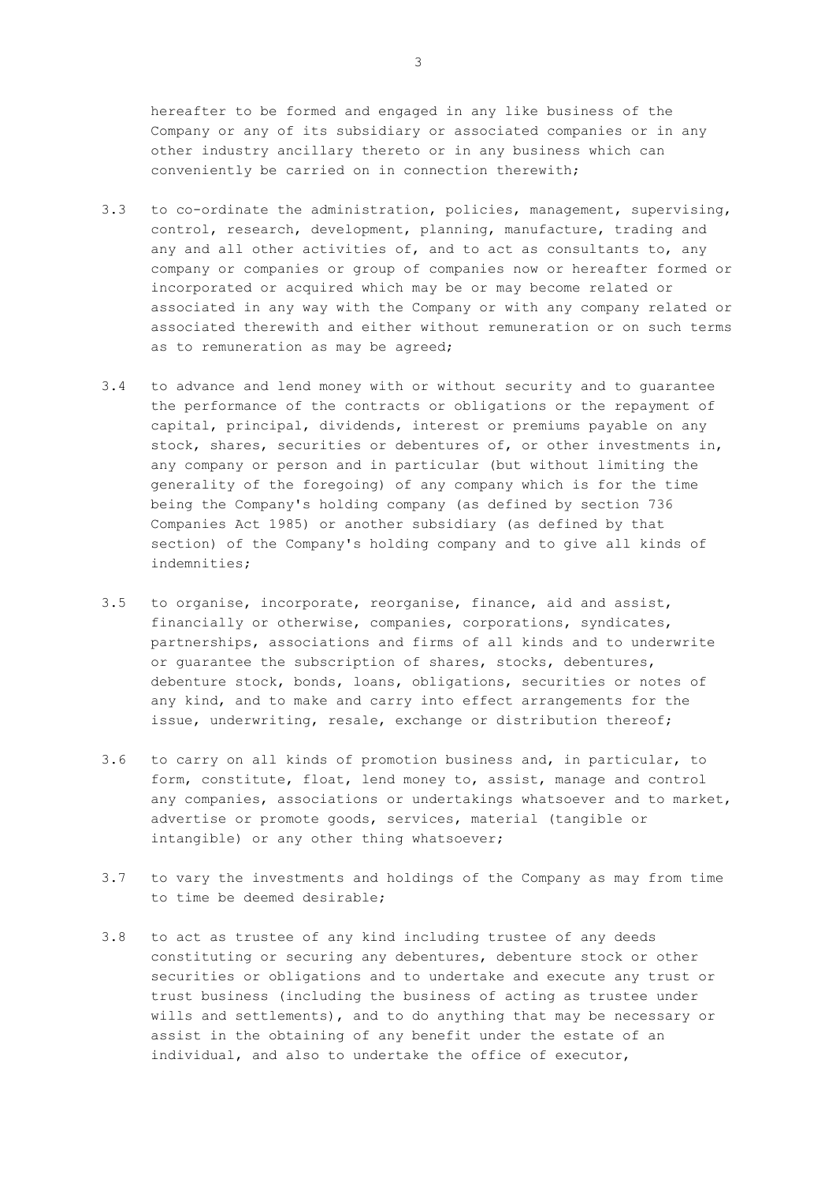hereafter to be formed and engaged in any like business of the Company or any of its subsidiary or associated companies or in any other industry ancillary thereto or in any business which can conveniently be carried on in connection therewith;

- 3.3 to co-ordinate the administration, policies, management, supervising, control, research, development, planning, manufacture, trading and any and all other activities of, and to act as consultants to, any company or companies or group of companies now or hereafter formed or incorporated or acquired which may be or may become related or associated in any way with the Company or with any company related or associated therewith and either without remuneration or on such terms as to remuneration as may be agreed;
- 3.4 to advance and lend money with or without security and to guarantee the performance of the contracts or obligations or the repayment of capital, principal, dividends, interest or premiums payable on any stock, shares, securities or debentures of, or other investments in, any company or person and in particular (but without limiting the generality of the foregoing) of any company which is for the time being the Company's holding company (as defined by section 736 Companies Act 1985) or another subsidiary (as defined by that section) of the Company's holding company and to give all kinds of indemnities;
- 3.5 to organise, incorporate, reorganise, finance, aid and assist, financially or otherwise, companies, corporations, syndicates, partnerships, associations and firms of all kinds and to underwrite or guarantee the subscription of shares, stocks, debentures, debenture stock, bonds, loans, obligations, securities or notes of any kind, and to make and carry into effect arrangements for the issue, underwriting, resale, exchange or distribution thereof;
- 3.6 to carry on all kinds of promotion business and, in particular, to form, constitute, float, lend money to, assist, manage and control any companies, associations or undertakings whatsoever and to market, advertise or promote goods, services, material (tangible or intangible) or any other thing whatsoever;
- 3.7 to vary the investments and holdings of the Company as may from time to time be deemed desirable;
- 3.8 to act as trustee of any kind including trustee of any deeds constituting or securing any debentures, debenture stock or other securities or obligations and to undertake and execute any trust or trust business (including the business of acting as trustee under wills and settlements), and to do anything that may be necessary or assist in the obtaining of any benefit under the estate of an individual, and also to undertake the office of executor,

3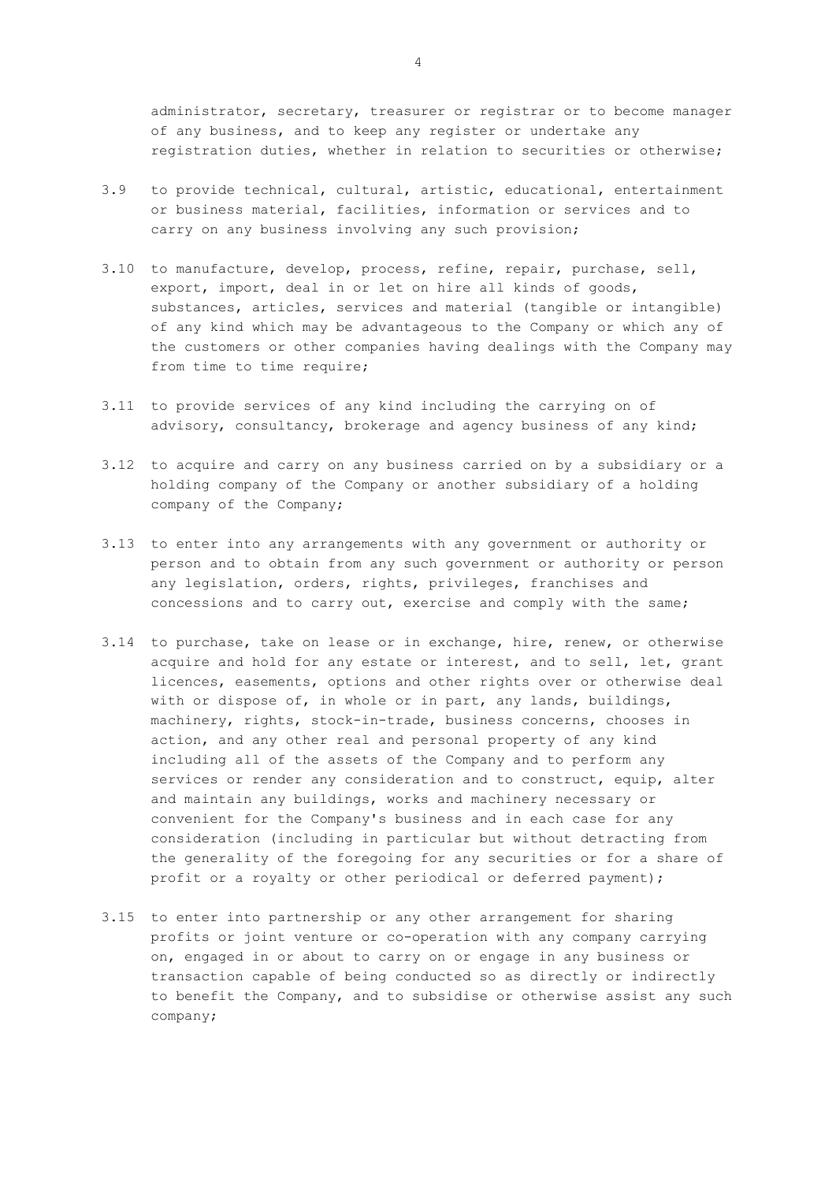administrator, secretary, treasurer or registrar or to become manager of any business, and to keep any register or undertake any registration duties, whether in relation to securities or otherwise;

- 3.9 to provide technical, cultural, artistic, educational, entertainment or business material, facilities, information or services and to carry on any business involving any such provision;
- 3.10 to manufacture, develop, process, refine, repair, purchase, sell, export, import, deal in or let on hire all kinds of goods, substances, articles, services and material (tangible or intangible) of any kind which may be advantageous to the Company or which any of the customers or other companies having dealings with the Company may from time to time require;
- 3.11 to provide services of any kind including the carrying on of advisory, consultancy, brokerage and agency business of any kind;
- 3.12 to acquire and carry on any business carried on by a subsidiary or a holding company of the Company or another subsidiary of a holding company of the Company;
- 3.13 to enter into any arrangements with any government or authority or person and to obtain from any such government or authority or person any legislation, orders, rights, privileges, franchises and concessions and to carry out, exercise and comply with the same;
- 3.14 to purchase, take on lease or in exchange, hire, renew, or otherwise acquire and hold for any estate or interest, and to sell, let, grant licences, easements, options and other rights over or otherwise deal with or dispose of, in whole or in part, any lands, buildings, machinery, rights, stock-in-trade, business concerns, chooses in action, and any other real and personal property of any kind including all of the assets of the Company and to perform any services or render any consideration and to construct, equip, alter and maintain any buildings, works and machinery necessary or convenient for the Company's business and in each case for any consideration (including in particular but without detracting from the generality of the foregoing for any securities or for a share of profit or a royalty or other periodical or deferred payment);
- 3.15 to enter into partnership or any other arrangement for sharing profits or joint venture or co-operation with any company carrying on, engaged in or about to carry on or engage in any business or transaction capable of being conducted so as directly or indirectly to benefit the Company, and to subsidise or otherwise assist any such company;

4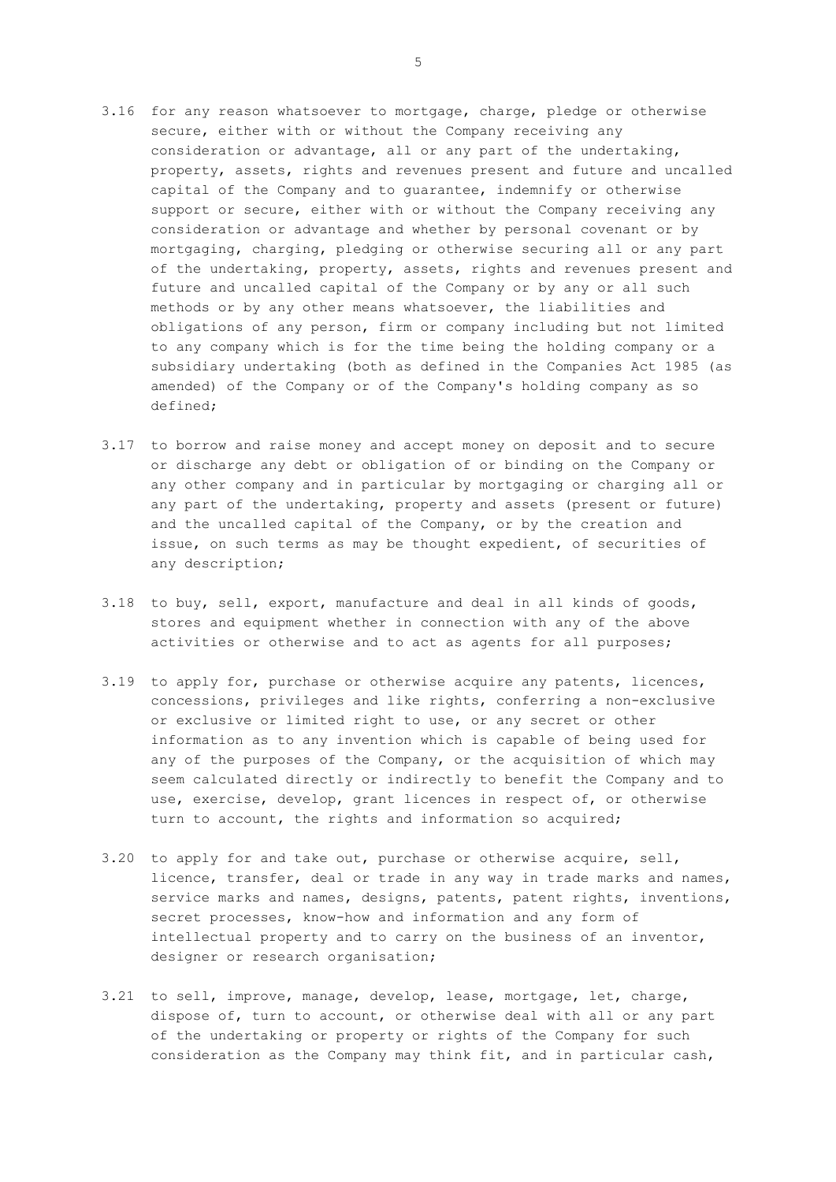- 3.16 for any reason whatsoever to mortgage, charge, pledge or otherwise secure, either with or without the Company receiving any consideration or advantage, all or any part of the undertaking, property, assets, rights and revenues present and future and uncalled capital of the Company and to guarantee, indemnify or otherwise support or secure, either with or without the Company receiving any consideration or advantage and whether by personal covenant or by mortgaging, charging, pledging or otherwise securing all or any part of the undertaking, property, assets, rights and revenues present and future and uncalled capital of the Company or by any or all such methods or by any other means whatsoever, the liabilities and obligations of any person, firm or company including but not limited to any company which is for the time being the holding company or a subsidiary undertaking (both as defined in the Companies Act 1985 (as amended) of the Company or of the Company's holding company as so defined;
- 3.17 to borrow and raise money and accept money on deposit and to secure or discharge any debt or obligation of or binding on the Company or any other company and in particular by mortgaging or charging all or any part of the undertaking, property and assets (present or future) and the uncalled capital of the Company, or by the creation and issue, on such terms as may be thought expedient, of securities of any description;
- 3.18 to buy, sell, export, manufacture and deal in all kinds of goods, stores and equipment whether in connection with any of the above activities or otherwise and to act as agents for all purposes;
- 3.19 to apply for, purchase or otherwise acquire any patents, licences, concessions, privileges and like rights, conferring a non-exclusive or exclusive or limited right to use, or any secret or other information as to any invention which is capable of being used for any of the purposes of the Company, or the acquisition of which may seem calculated directly or indirectly to benefit the Company and to use, exercise, develop, grant licences in respect of, or otherwise turn to account, the rights and information so acquired;
- 3.20 to apply for and take out, purchase or otherwise acquire, sell, licence, transfer, deal or trade in any way in trade marks and names, service marks and names, designs, patents, patent rights, inventions, secret processes, know-how and information and any form of intellectual property and to carry on the business of an inventor, designer or research organisation;
- 3.21 to sell, improve, manage, develop, lease, mortgage, let, charge, dispose of, turn to account, or otherwise deal with all or any part of the undertaking or property or rights of the Company for such consideration as the Company may think fit, and in particular cash,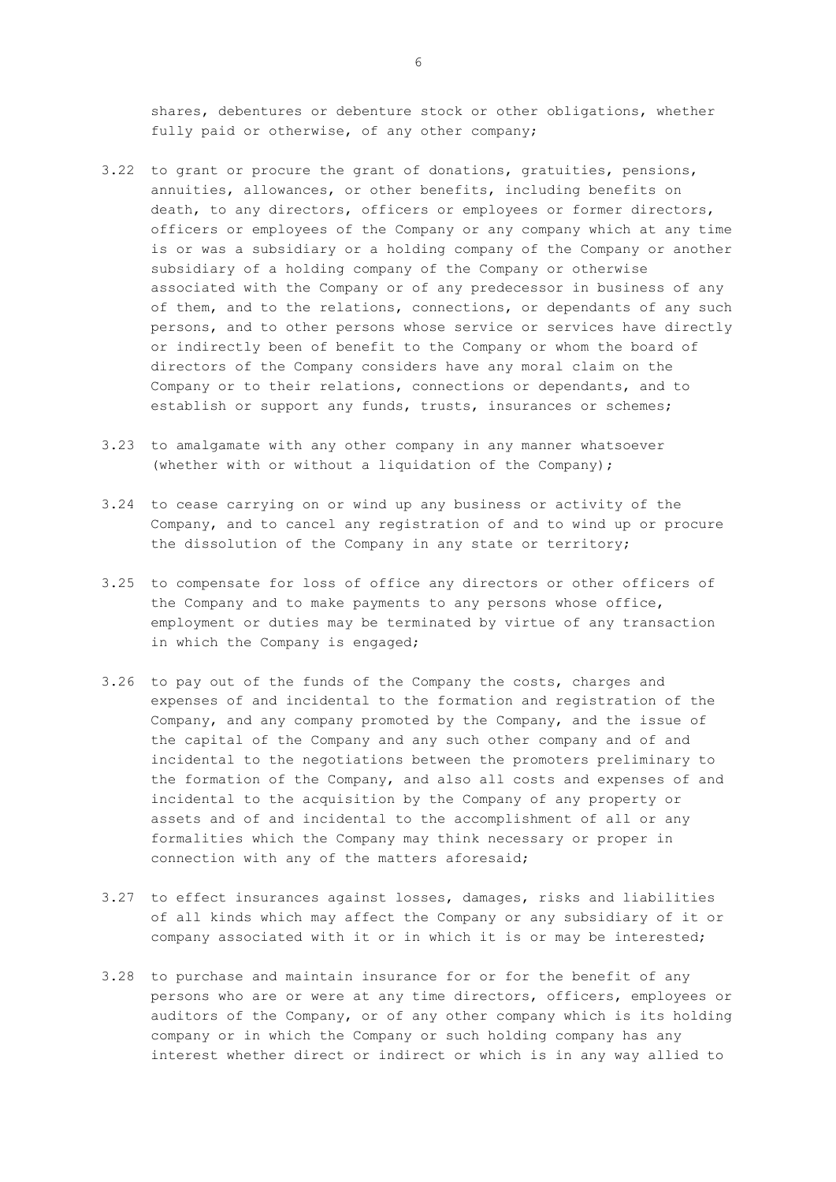shares, debentures or debenture stock or other obligations, whether fully paid or otherwise, of any other company;

- 3.22 to grant or procure the grant of donations, gratuities, pensions, annuities, allowances, or other benefits, including benefits on death, to any directors, officers or employees or former directors, officers or employees of the Company or any company which at any time is or was a subsidiary or a holding company of the Company or another subsidiary of a holding company of the Company or otherwise associated with the Company or of any predecessor in business of any of them, and to the relations, connections, or dependants of any such persons, and to other persons whose service or services have directly or indirectly been of benefit to the Company or whom the board of directors of the Company considers have any moral claim on the Company or to their relations, connections or dependants, and to establish or support any funds, trusts, insurances or schemes;
- 3.23 to amalgamate with any other company in any manner whatsoever (whether with or without a liquidation of the Company);
- 3.24 to cease carrying on or wind up any business or activity of the Company, and to cancel any registration of and to wind up or procure the dissolution of the Company in any state or territory;
- 3.25 to compensate for loss of office any directors or other officers of the Company and to make payments to any persons whose office, employment or duties may be terminated by virtue of any transaction in which the Company is engaged;
- 3.26 to pay out of the funds of the Company the costs, charges and expenses of and incidental to the formation and registration of the Company, and any company promoted by the Company, and the issue of the capital of the Company and any such other company and of and incidental to the negotiations between the promoters preliminary to the formation of the Company, and also all costs and expenses of and incidental to the acquisition by the Company of any property or assets and of and incidental to the accomplishment of all or any formalities which the Company may think necessary or proper in connection with any of the matters aforesaid;
- 3.27 to effect insurances against losses, damages, risks and liabilities of all kinds which may affect the Company or any subsidiary of it or company associated with it or in which it is or may be interested;
- 3.28 to purchase and maintain insurance for or for the benefit of any persons who are or were at any time directors, officers, employees or auditors of the Company, or of any other company which is its holding company or in which the Company or such holding company has any interest whether direct or indirect or which is in any way allied to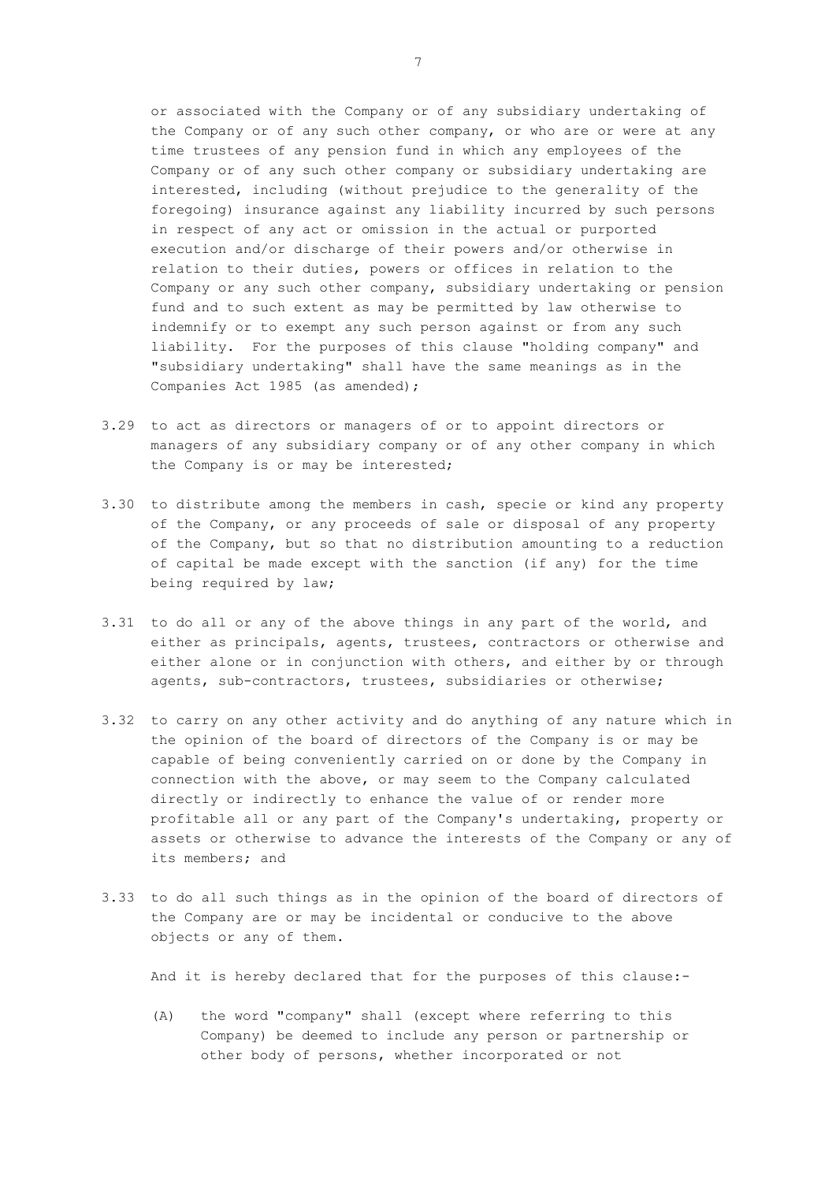or associated with the Company or of any subsidiary undertaking of the Company or of any such other company, or who are or were at any time trustees of any pension fund in which any employees of the Company or of any such other company or subsidiary undertaking are interested, including (without prejudice to the generality of the foregoing) insurance against any liability incurred by such persons in respect of any act or omission in the actual or purported execution and/or discharge of their powers and/or otherwise in relation to their duties, powers or offices in relation to the Company or any such other company, subsidiary undertaking or pension fund and to such extent as may be permitted by law otherwise to indemnify or to exempt any such person against or from any such liability. For the purposes of this clause "holding company" and "subsidiary undertaking" shall have the same meanings as in the Companies Act 1985 (as amended);

- 3.29 to act as directors or managers of or to appoint directors or managers of any subsidiary company or of any other company in which the Company is or may be interested;
- 3.30 to distribute among the members in cash, specie or kind any property of the Company, or any proceeds of sale or disposal of any property of the Company, but so that no distribution amounting to a reduction of capital be made except with the sanction (if any) for the time being required by law;
- 3.31 to do all or any of the above things in any part of the world, and either as principals, agents, trustees, contractors or otherwise and either alone or in conjunction with others, and either by or through agents, sub-contractors, trustees, subsidiaries or otherwise;
- 3.32 to carry on any other activity and do anything of any nature which in the opinion of the board of directors of the Company is or may be capable of being conveniently carried on or done by the Company in connection with the above, or may seem to the Company calculated directly or indirectly to enhance the value of or render more profitable all or any part of the Company's undertaking, property or assets or otherwise to advance the interests of the Company or any of its members; and
- 3.33 to do all such things as in the opinion of the board of directors of the Company are or may be incidental or conducive to the above objects or any of them.

And it is hereby declared that for the purposes of this clause:-

(A) the word "company" shall (except where referring to this Company) be deemed to include any person or partnership or other body of persons, whether incorporated or not

7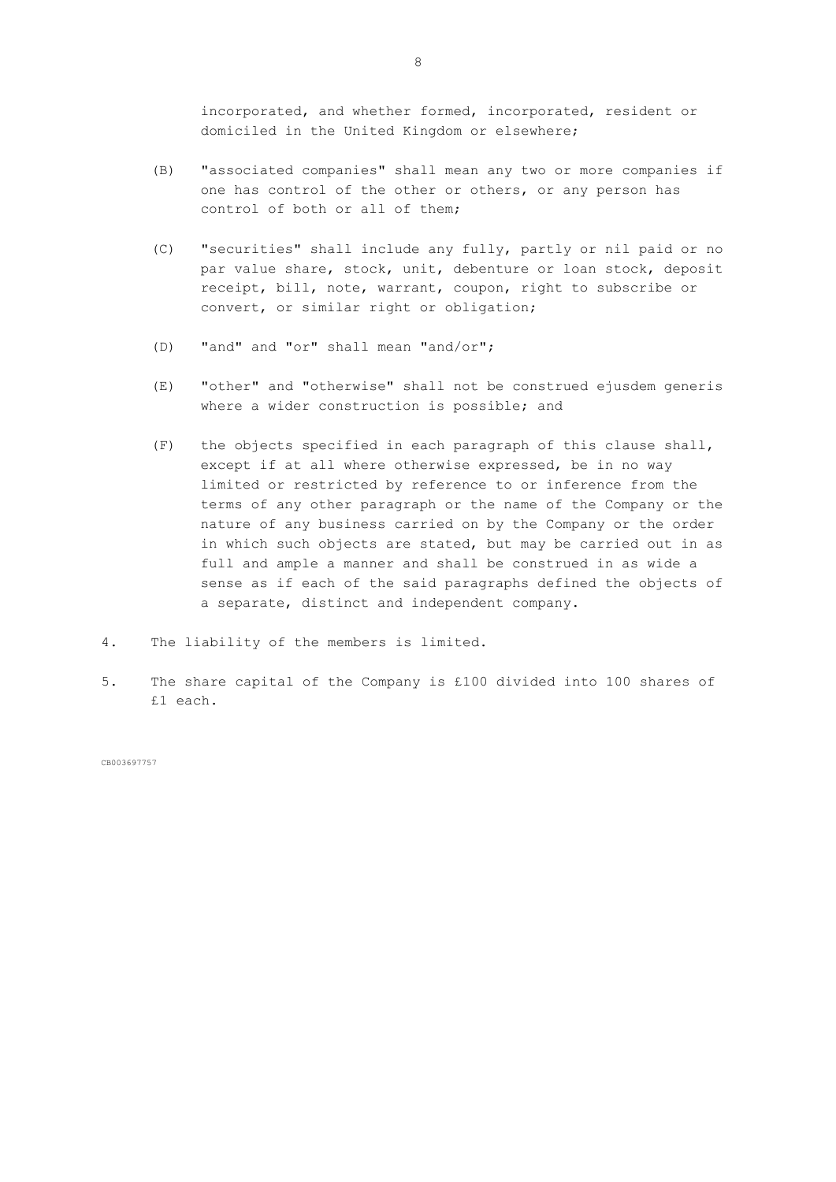incorporated, and whether formed, incorporated, resident or domiciled in the United Kingdom or elsewhere;

- (B) "associated companies" shall mean any two or more companies if one has control of the other or others, or any person has control of both or all of them;
- (C) "securities" shall include any fully, partly or nil paid or no par value share, stock, unit, debenture or loan stock, deposit receipt, bill, note, warrant, coupon, right to subscribe or convert, or similar right or obligation;
- (D) "and" and "or" shall mean "and/or";
- (E) "other" and "otherwise" shall not be construed ejusdem generis where a wider construction is possible; and
- (F) the objects specified in each paragraph of this clause shall, except if at all where otherwise expressed, be in no way limited or restricted by reference to or inference from the terms of any other paragraph or the name of the Company or the nature of any business carried on by the Company or the order in which such objects are stated, but may be carried out in as full and ample a manner and shall be construed in as wide a sense as if each of the said paragraphs defined the objects of a separate, distinct and independent company.
- 4. The liability of the members is limited.
- 5. The share capital of the Company is £100 divided into 100 shares of £1 each.

CB003697757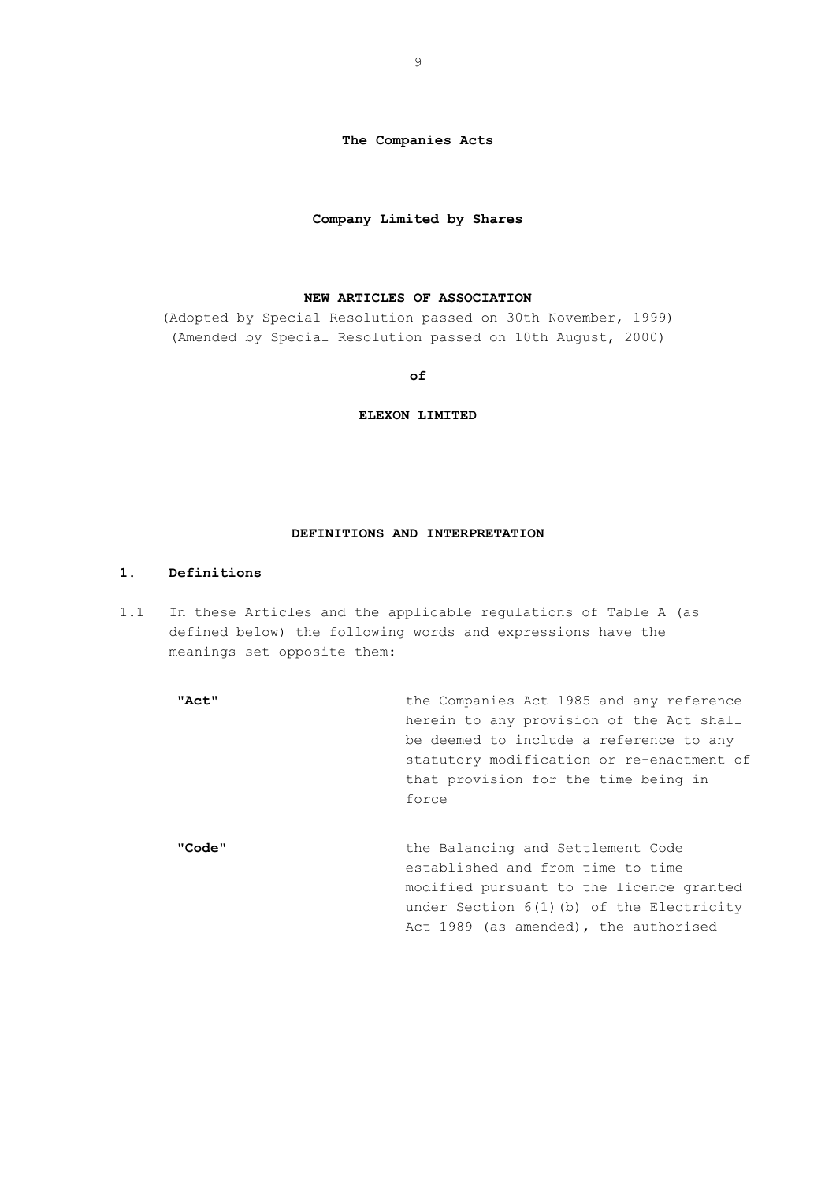**The Companies Acts**

### **Company Limited by Shares**

### **NEW ARTICLES OF ASSOCIATION**

(Adopted by Special Resolution passed on 30th November, 1999) (Amended by Special Resolution passed on 10th August, 2000)

**of**

**ELEXON LIMITED**

# **DEFINITIONS AND INTERPRETATION**

## **1. Definitions**

1.1 In these Articles and the applicable regulations of Table A (as defined below) the following words and expressions have the meanings set opposite them:

"Act" the Companies Act 1985 and any reference herein to any provision of the Act shall be deemed to include a reference to any statutory modification or re-enactment of that provision for the time being in force

"**Code**" the Balancing and Settlement Code established and from time to time modified pursuant to the licence granted under Section 6(1)(b) of the Electricity Act 1989 (as amended), the authorised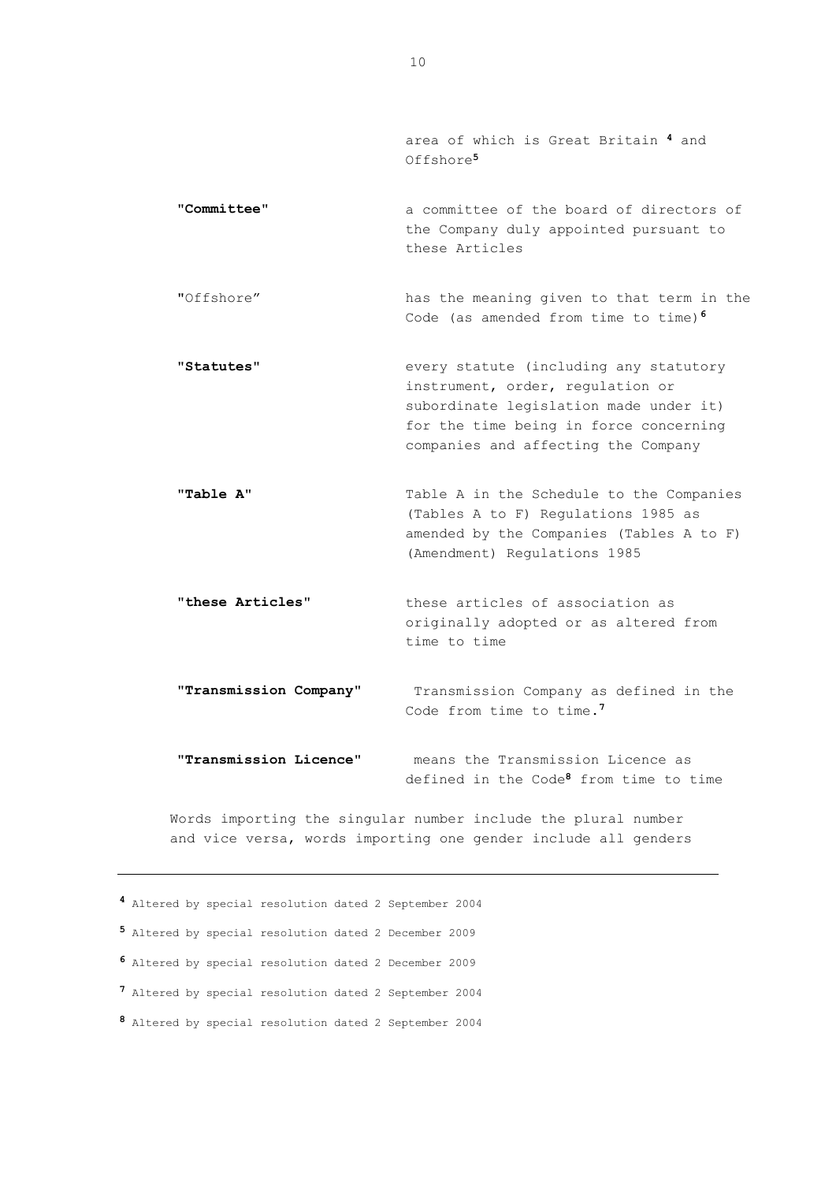area of which is Great Britain **<sup>4</sup>** and Offshore**<sup>5</sup>**

- "**Committee**" a committee of the board of directors of the Company duly appointed pursuant to these Articles
- "Offshore" has the meaning given to that term in the Code (as amended from time to time)**<sup>6</sup>**
- "**Statutes**" every statute (including any statutory instrument, order, regulation or subordinate legislation made under it) for the time being in force concerning companies and affecting the Company
- **"Table A"** Table A in the Schedule to the Companies (Tables A to F) Regulations 1985 as amended by the Companies (Tables A to F) (Amendment) Regulations 1985
- "**these Articles**" these articles of association as originally adopted or as altered from time to time
- "**Transmission Company**" Transmission Company as defined in the Code from time to time.**<sup>7</sup>**
- "**Transmission Licence**" means the Transmission Licence as defined in the Code**<sup>8</sup>** from time to time

Words importing the singular number include the plural number and vice versa, words importing one gender include all genders

- **<sup>4</sup>** Altered by special resolution dated 2 September 2004
- **<sup>5</sup>** Altered by special resolution dated 2 December 2009
- **<sup>6</sup>** Altered by special resolution dated 2 December 2009
- **<sup>7</sup>** Altered by special resolution dated 2 September 2004
- **<sup>8</sup>** Altered by special resolution dated 2 September 2004

10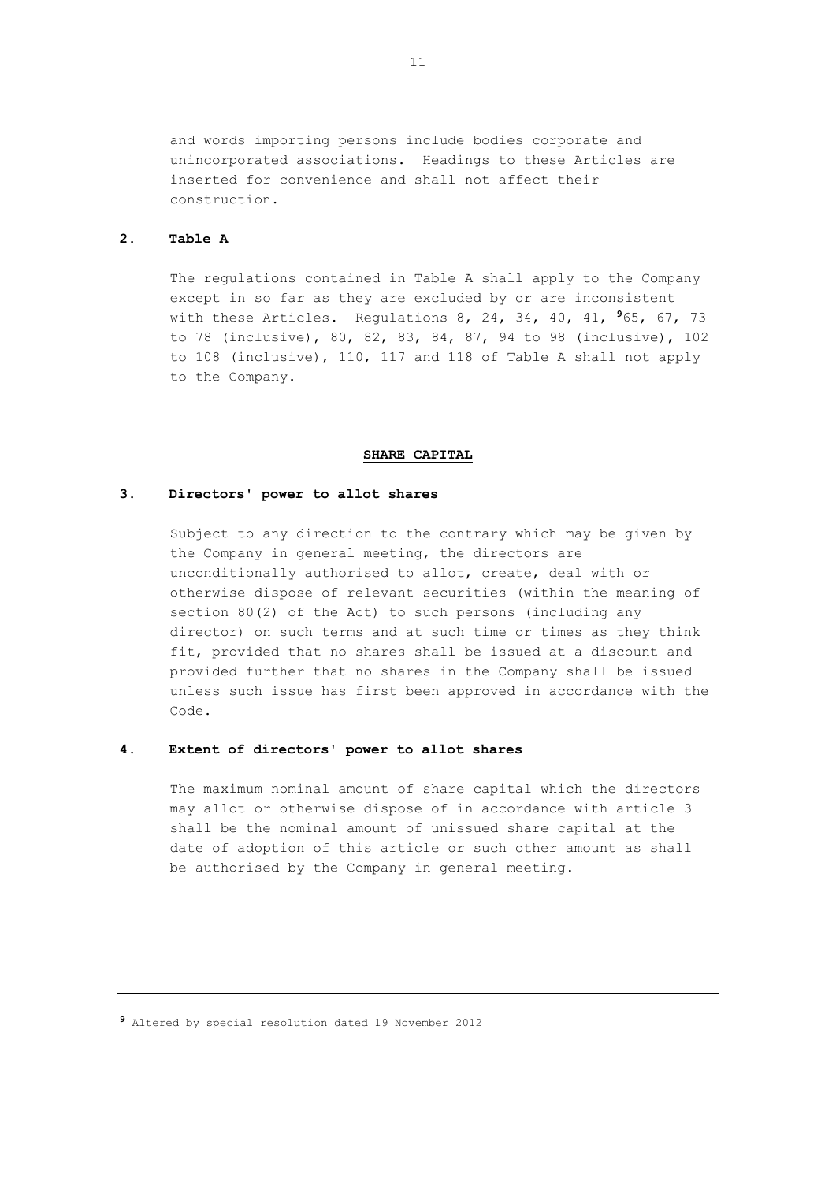and words importing persons include bodies corporate and unincorporated associations. Headings to these Articles are inserted for convenience and shall not affect their construction.

# **2. Table A**

The regulations contained in Table A shall apply to the Company except in so far as they are excluded by or are inconsistent with these Articles. Regulations 8, 24, 34, 40, 41, **<sup>9</sup>**65, 67, 73 to 78 (inclusive), 80, 82, 83, 84, 87, 94 to 98 (inclusive), 102 to 108 (inclusive), 110, 117 and 118 of Table A shall not apply to the Company.

## **SHARE CAPITAL**

### **3. Directors' power to allot shares**

Subject to any direction to the contrary which may be given by the Company in general meeting, the directors are unconditionally authorised to allot, create, deal with or otherwise dispose of relevant securities (within the meaning of section 80(2) of the Act) to such persons (including any director) on such terms and at such time or times as they think fit, provided that no shares shall be issued at a discount and provided further that no shares in the Company shall be issued unless such issue has first been approved in accordance with the Code.

### **4. Extent of directors' power to allot shares**

The maximum nominal amount of share capital which the directors may allot or otherwise dispose of in accordance with article 3 shall be the nominal amount of unissued share capital at the date of adoption of this article or such other amount as shall be authorised by the Company in general meeting.

**<sup>9</sup>** Altered by special resolution dated 19 November 2012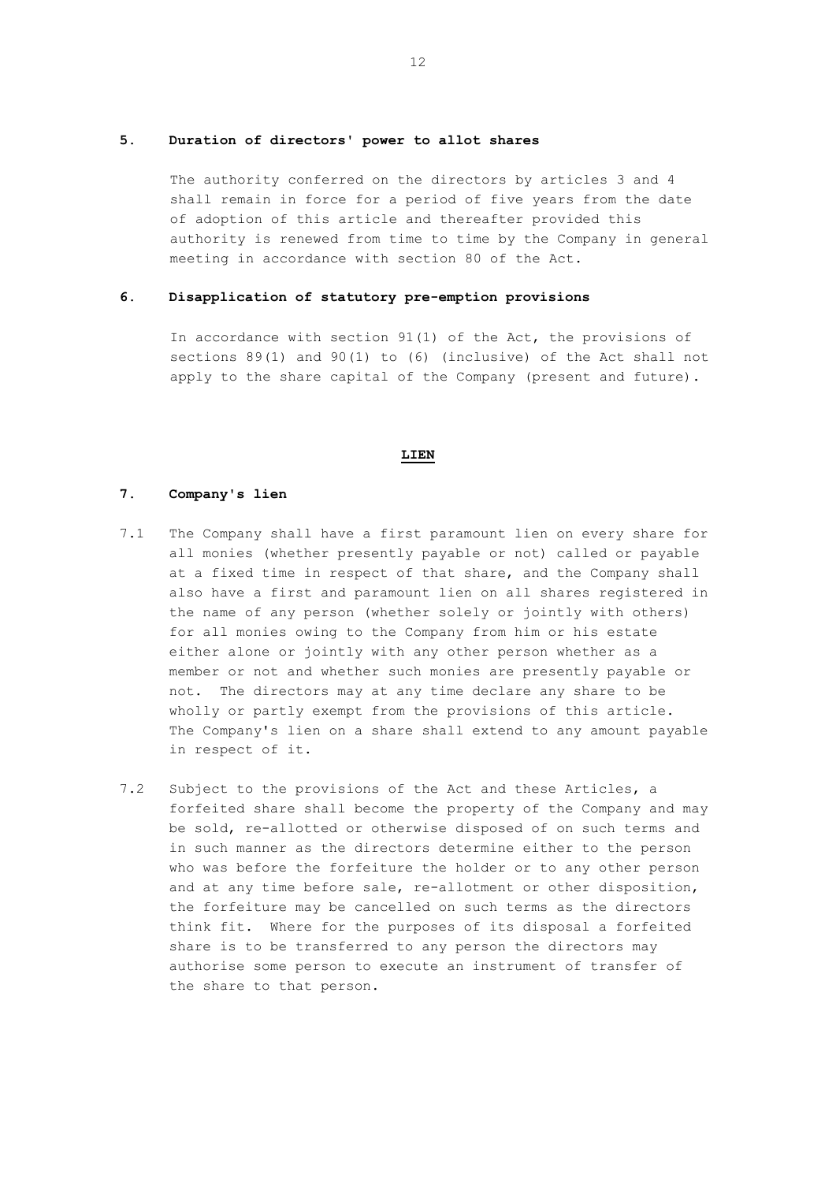## **5. Duration of directors' power to allot shares**

The authority conferred on the directors by articles 3 and 4 shall remain in force for a period of five years from the date of adoption of this article and thereafter provided this authority is renewed from time to time by the Company in general meeting in accordance with section 80 of the Act.

# **6. Disapplication of statutory pre-emption provisions**

In accordance with section 91(1) of the Act, the provisions of sections 89(1) and 90(1) to (6) (inclusive) of the Act shall not apply to the share capital of the Company (present and future).

### **LIEN**

### **7. Company's lien**

- 7.1 The Company shall have a first paramount lien on every share for all monies (whether presently payable or not) called or payable at a fixed time in respect of that share, and the Company shall also have a first and paramount lien on all shares registered in the name of any person (whether solely or jointly with others) for all monies owing to the Company from him or his estate either alone or jointly with any other person whether as a member or not and whether such monies are presently payable or not. The directors may at any time declare any share to be wholly or partly exempt from the provisions of this article. The Company's lien on a share shall extend to any amount payable in respect of it.
- 7.2 Subject to the provisions of the Act and these Articles, a forfeited share shall become the property of the Company and may be sold, re-allotted or otherwise disposed of on such terms and in such manner as the directors determine either to the person who was before the forfeiture the holder or to any other person and at any time before sale, re-allotment or other disposition, the forfeiture may be cancelled on such terms as the directors think fit. Where for the purposes of its disposal a forfeited share is to be transferred to any person the directors may authorise some person to execute an instrument of transfer of the share to that person.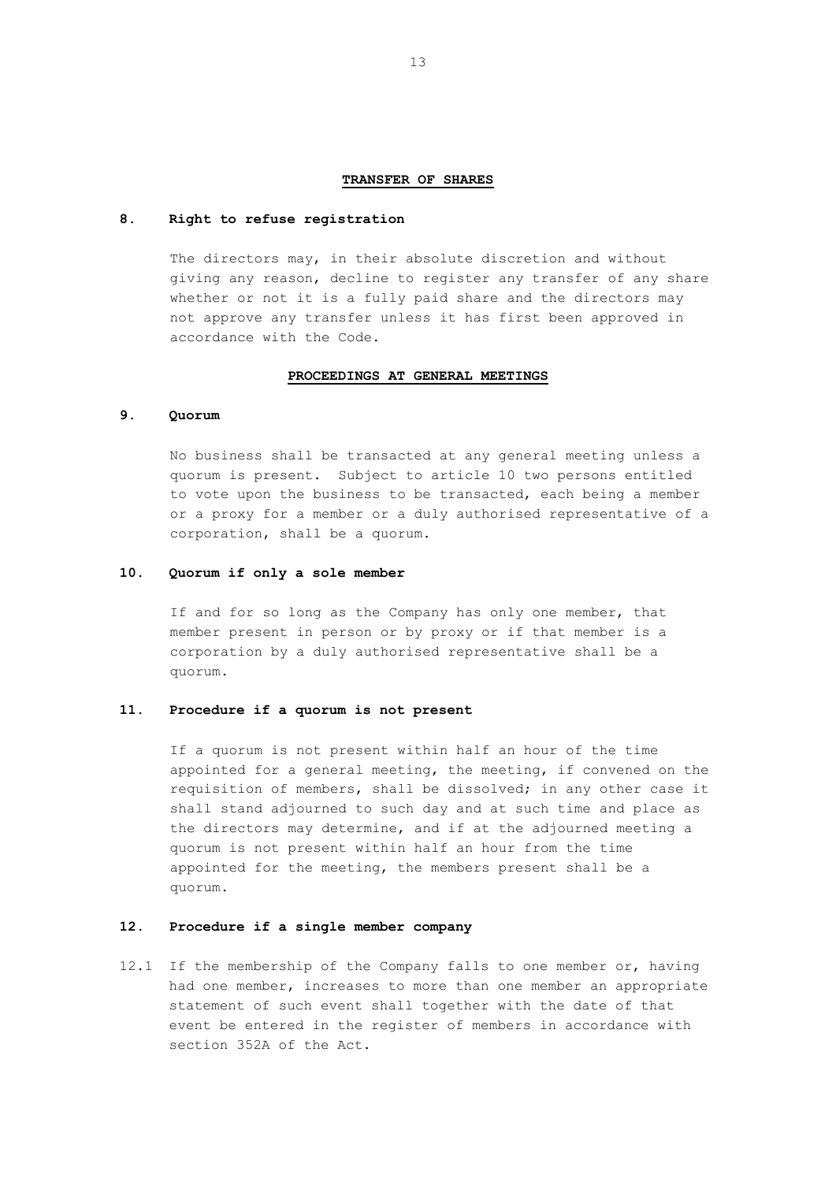### **TRANSFER OF SHARES**

#### **8. Right to refuse registration**

The directors may, in their absolute discretion and without giving any reason, decline to register any transfer of any share whether or not it is a fully paid share and the directors may not approve any transfer unless it has first been approved in accordance with the Code.

## **PROCEEDINGS AT GENERAL MEETINGS**

### **9. Quorum**

No business shall be transacted at any general meeting unless a quorum is present. Subject to article 10 two persons entitled to vote upon the business to be transacted, each being a member or a proxy for a member or a duly authorised representative of a corporation, shall be a quorum.

### **10. Quorum if only a sole member**

If and for so long as the Company has only one member, that member present in person or by proxy or if that member is a corporation by a duly authorised representative shall be a quorum.

### **11. Procedure if a quorum is not present**

If a quorum is not present within half an hour of the time appointed for a general meeting, the meeting, if convened on the requisition of members, shall be dissolved; in any other case it shall stand adjourned to such day and at such time and place as the directors may determine, and if at the adjourned meeting a quorum is not present within half an hour from the time appointed for the meeting, the members present shall be a quorum.

# **12. Procedure if a single member company**

12.1 If the membership of the Company falls to one member or, having had one member, increases to more than one member an appropriate statement of such event shall together with the date of that event be entered in the register of members in accordance with section 352A of the Act.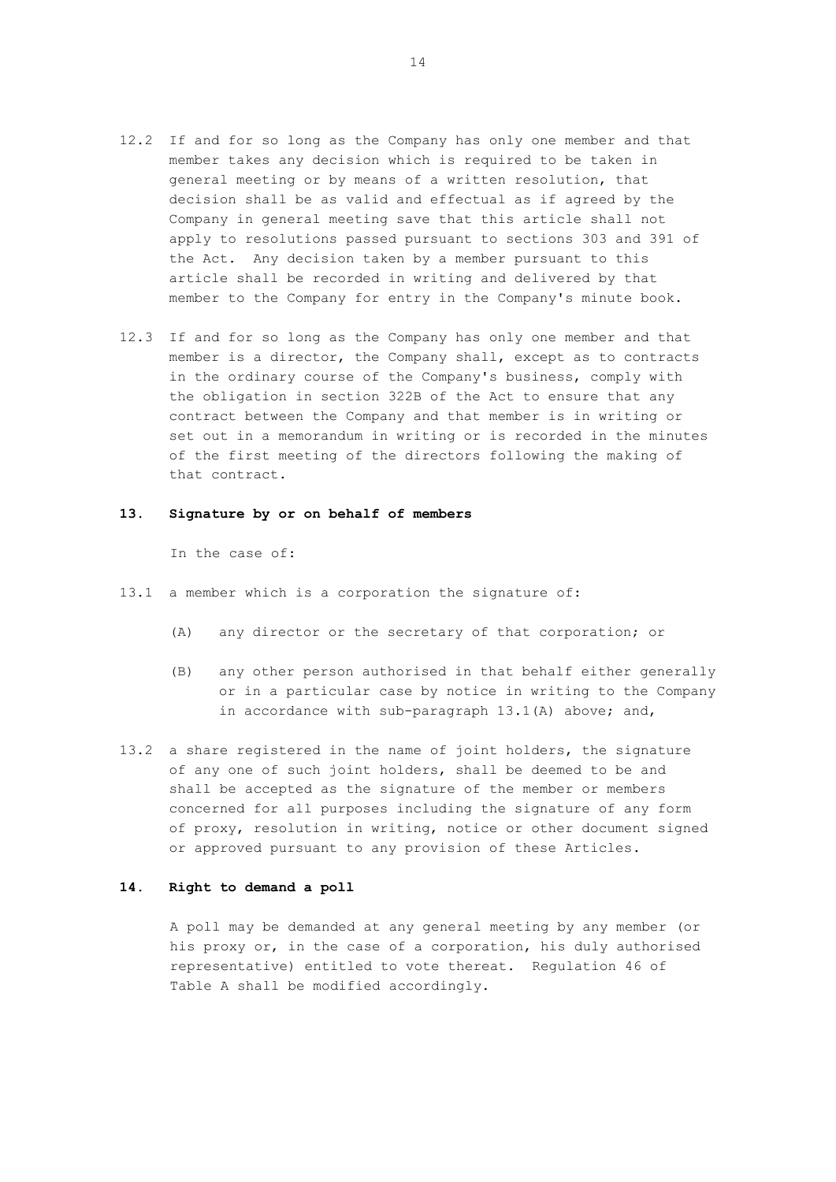- 12.2 If and for so long as the Company has only one member and that member takes any decision which is required to be taken in general meeting or by means of a written resolution, that decision shall be as valid and effectual as if agreed by the Company in general meeting save that this article shall not apply to resolutions passed pursuant to sections 303 and 391 of the Act. Any decision taken by a member pursuant to this article shall be recorded in writing and delivered by that member to the Company for entry in the Company's minute book.
- 12.3 If and for so long as the Company has only one member and that member is a director, the Company shall, except as to contracts in the ordinary course of the Company's business, comply with the obligation in section 322B of the Act to ensure that any contract between the Company and that member is in writing or set out in a memorandum in writing or is recorded in the minutes of the first meeting of the directors following the making of that contract.

## **13. Signature by or on behalf of members**

In the case of:

- 13.1 a member which is a corporation the signature of:
	- (A) any director or the secretary of that corporation; or
	- (B) any other person authorised in that behalf either generally or in a particular case by notice in writing to the Company in accordance with sub-paragraph 13.1(A) above; and,
- 13.2 a share registered in the name of joint holders, the signature of any one of such joint holders, shall be deemed to be and shall be accepted as the signature of the member or members concerned for all purposes including the signature of any form of proxy, resolution in writing, notice or other document signed or approved pursuant to any provision of these Articles.

## **14. Right to demand a poll**

A poll may be demanded at any general meeting by any member (or his proxy or, in the case of a corporation, his duly authorised representative) entitled to vote thereat. Regulation 46 of Table A shall be modified accordingly.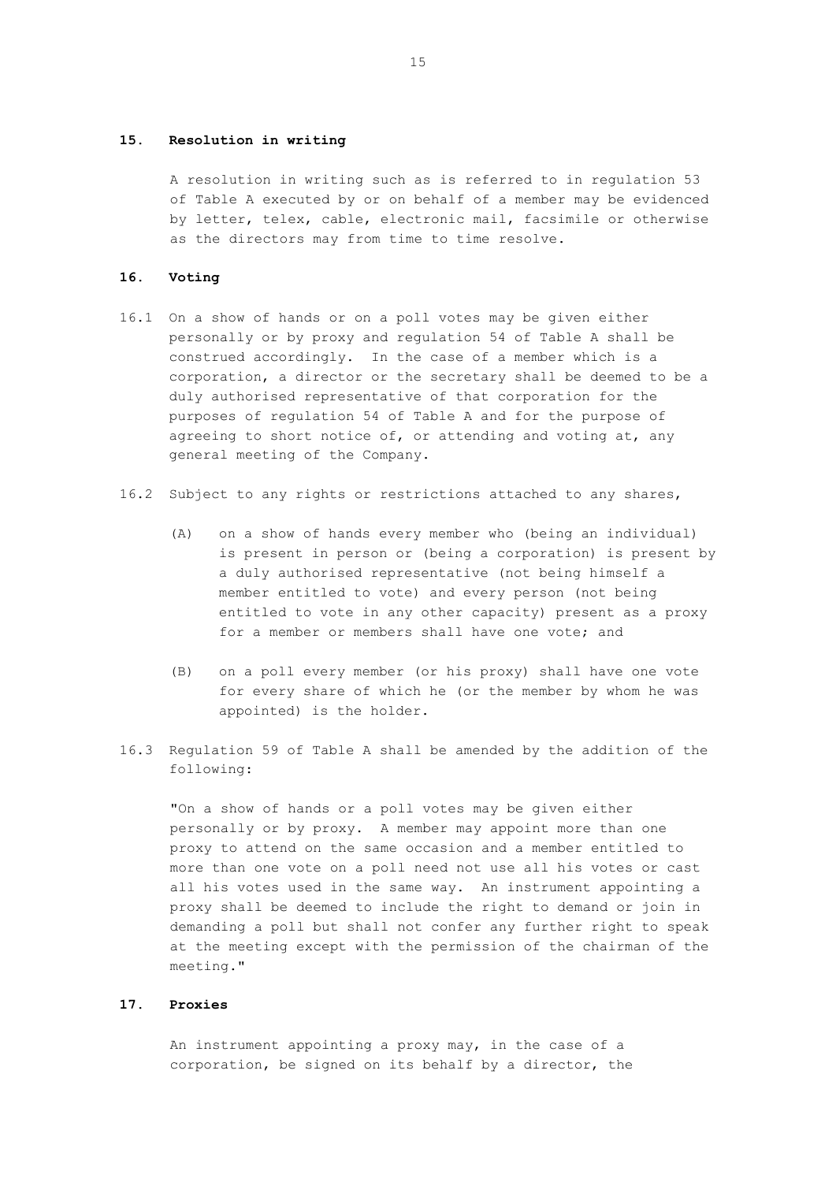### **15. Resolution in writing**

A resolution in writing such as is referred to in regulation 53 of Table A executed by or on behalf of a member may be evidenced by letter, telex, cable, electronic mail, facsimile or otherwise as the directors may from time to time resolve.

#### **16. Voting**

- 16.1 On a show of hands or on a poll votes may be given either personally or by proxy and regulation 54 of Table A shall be construed accordingly. In the case of a member which is a corporation, a director or the secretary shall be deemed to be a duly authorised representative of that corporation for the purposes of regulation 54 of Table A and for the purpose of agreeing to short notice of, or attending and voting at, any general meeting of the Company.
- 16.2 Subject to any rights or restrictions attached to any shares,
	- (A) on a show of hands every member who (being an individual) is present in person or (being a corporation) is present by a duly authorised representative (not being himself a member entitled to vote) and every person (not being entitled to vote in any other capacity) present as a proxy for a member or members shall have one vote; and
	- (B) on a poll every member (or his proxy) shall have one vote for every share of which he (or the member by whom he was appointed) is the holder.
- 16.3 Regulation 59 of Table A shall be amended by the addition of the following:

"On a show of hands or a poll votes may be given either personally or by proxy. A member may appoint more than one proxy to attend on the same occasion and a member entitled to more than one vote on a poll need not use all his votes or cast all his votes used in the same way. An instrument appointing a proxy shall be deemed to include the right to demand or join in demanding a poll but shall not confer any further right to speak at the meeting except with the permission of the chairman of the meeting."

## **17. Proxies**

An instrument appointing a proxy may, in the case of a corporation, be signed on its behalf by a director, the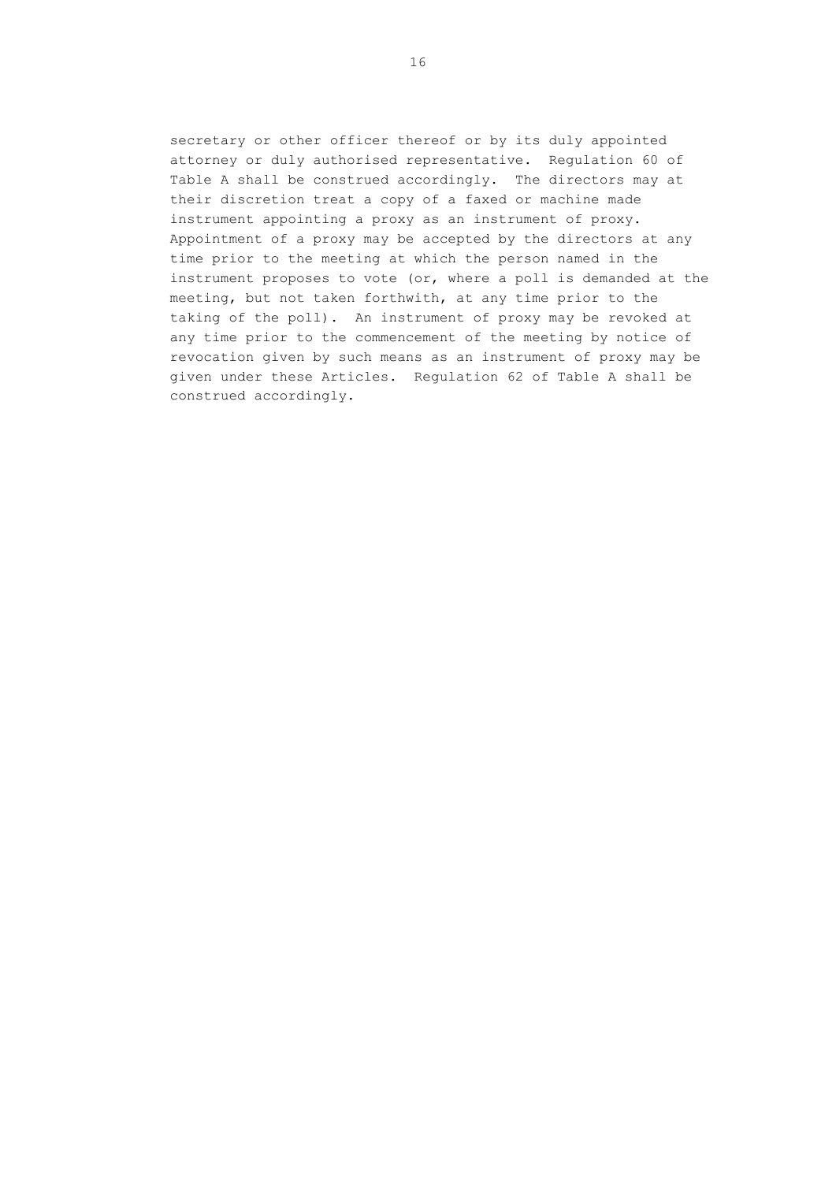secretary or other officer thereof or by its duly appointed attorney or duly authorised representative. Regulation 60 of Table A shall be construed accordingly. The directors may at their discretion treat a copy of a faxed or machine made instrument appointing a proxy as an instrument of proxy. Appointment of a proxy may be accepted by the directors at any time prior to the meeting at which the person named in the instrument proposes to vote (or, where a poll is demanded at the meeting, but not taken forthwith, at any time prior to the taking of the poll). An instrument of proxy may be revoked at any time prior to the commencement of the meeting by notice of revocation given by such means as an instrument of proxy may be given under these Articles. Regulation 62 of Table A shall be construed accordingly.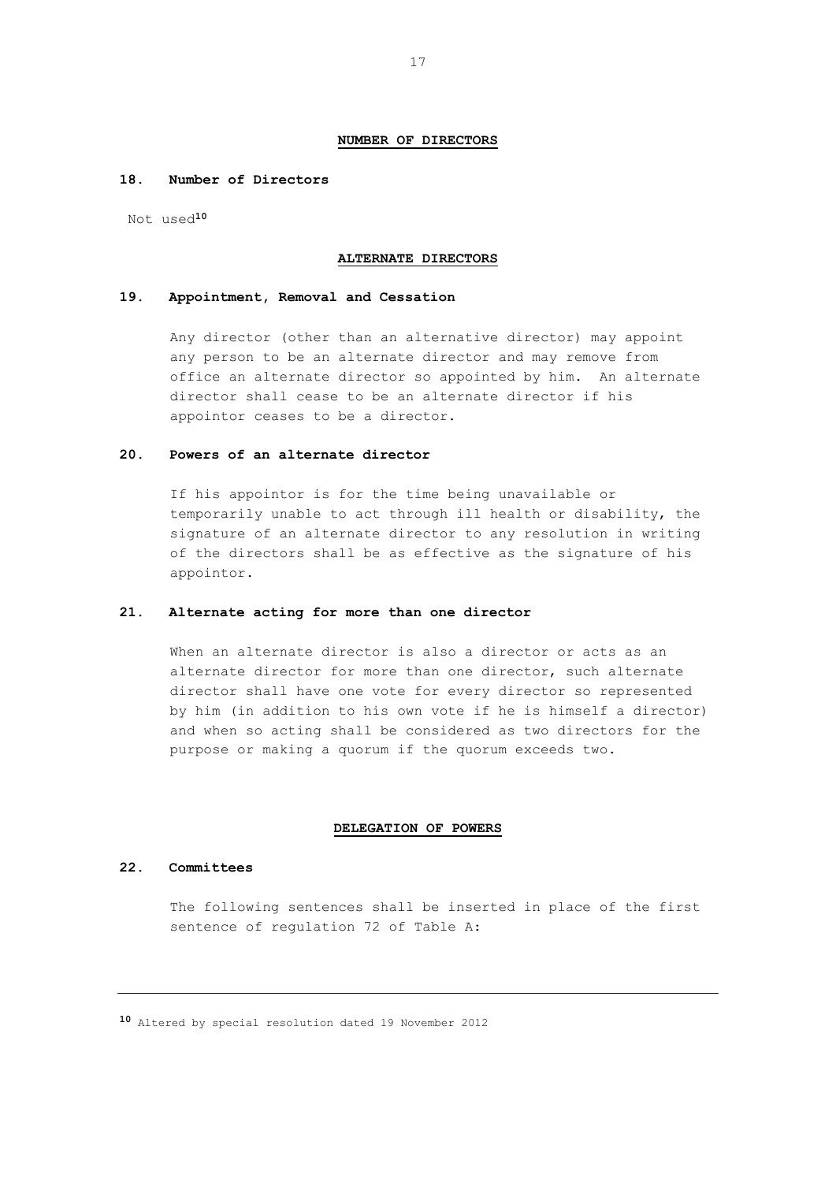#### **NUMBER OF DIRECTORS**

# **18. Number of Directors**

Not used**<sup>10</sup>**

#### **ALTERNATE DIRECTORS**

### **19. Appointment, Removal and Cessation**

Any director (other than an alternative director) may appoint any person to be an alternate director and may remove from office an alternate director so appointed by him. An alternate director shall cease to be an alternate director if his appointor ceases to be a director.

### **20. Powers of an alternate director**

If his appointor is for the time being unavailable or temporarily unable to act through ill health or disability, the signature of an alternate director to any resolution in writing of the directors shall be as effective as the signature of his appointor.

## **21. Alternate acting for more than one director**

When an alternate director is also a director or acts as an alternate director for more than one director, such alternate director shall have one vote for every director so represented by him (in addition to his own vote if he is himself a director) and when so acting shall be considered as two directors for the purpose or making a quorum if the quorum exceeds two.

#### **DELEGATION OF POWERS**

#### **22. Committees**

The following sentences shall be inserted in place of the first sentence of regulation 72 of Table A:

**<sup>10</sup>** Altered by special resolution dated 19 November 2012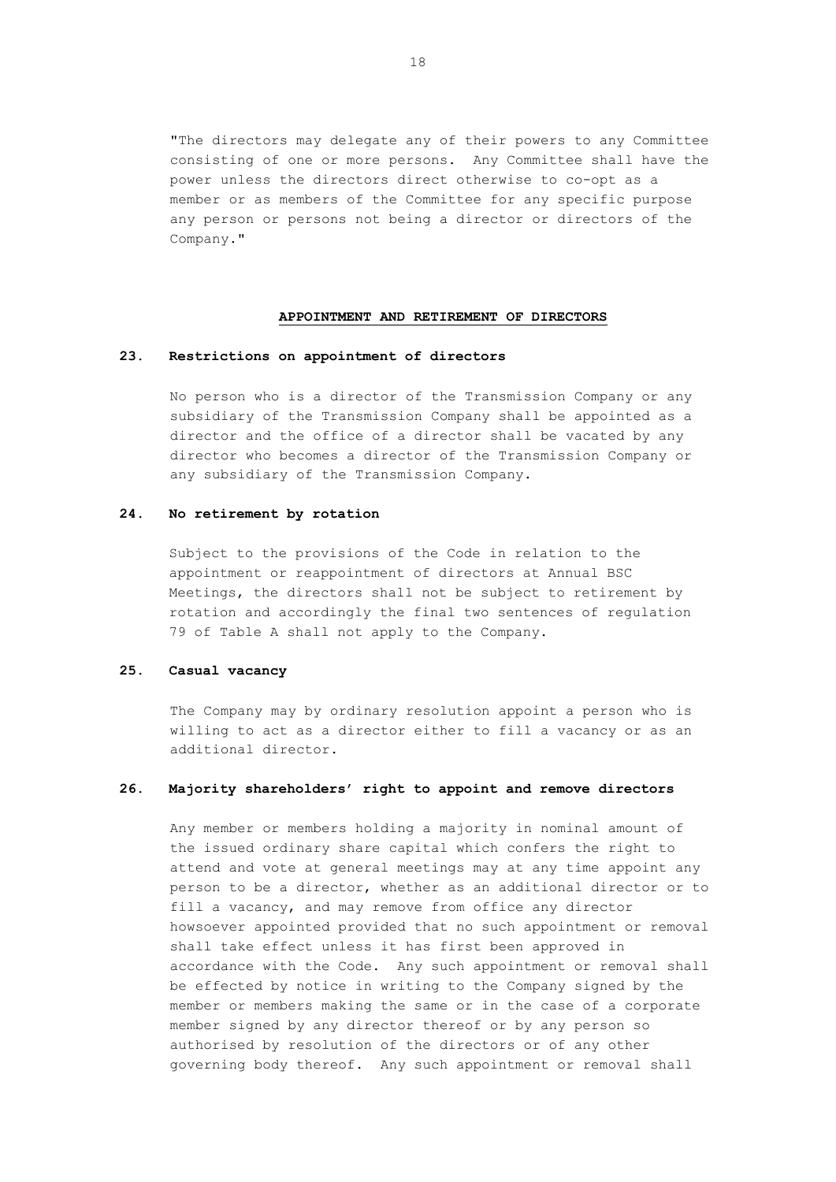"The directors may delegate any of their powers to any Committee consisting of one or more persons. Any Committee shall have the power unless the directors direct otherwise to co-opt as a member or as members of the Committee for any specific purpose any person or persons not being a director or directors of the Company."

### **APPOINTMENT AND RETIREMENT OF DIRECTORS**

### **23. Restrictions on appointment of directors**

No person who is a director of the Transmission Company or any subsidiary of the Transmission Company shall be appointed as a director and the office of a director shall be vacated by any director who becomes a director of the Transmission Company or any subsidiary of the Transmission Company.

# **24. No retirement by rotation**

Subject to the provisions of the Code in relation to the appointment or reappointment of directors at Annual BSC Meetings, the directors shall not be subject to retirement by rotation and accordingly the final two sentences of regulation 79 of Table A shall not apply to the Company.

## **25. Casual vacancy**

The Company may by ordinary resolution appoint a person who is willing to act as a director either to fill a vacancy or as an additional director.

# **26. Majority shareholders' right to appoint and remove directors**

Any member or members holding a majority in nominal amount of the issued ordinary share capital which confers the right to attend and vote at general meetings may at any time appoint any person to be a director, whether as an additional director or to fill a vacancy, and may remove from office any director howsoever appointed provided that no such appointment or removal shall take effect unless it has first been approved in accordance with the Code. Any such appointment or removal shall be effected by notice in writing to the Company signed by the member or members making the same or in the case of a corporate member signed by any director thereof or by any person so authorised by resolution of the directors or of any other governing body thereof. Any such appointment or removal shall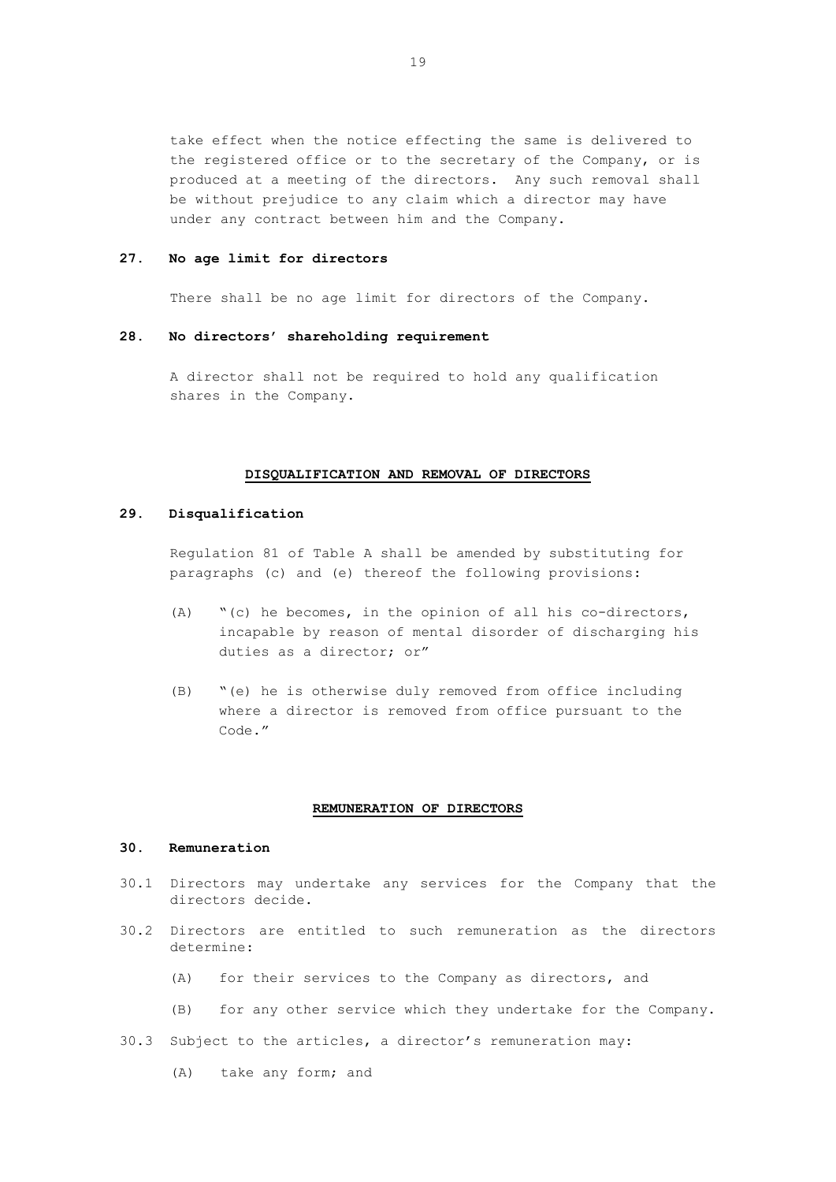take effect when the notice effecting the same is delivered to the registered office or to the secretary of the Company, or is produced at a meeting of the directors. Any such removal shall be without prejudice to any claim which a director may have under any contract between him and the Company.

### **27. No age limit for directors**

There shall be no age limit for directors of the Company.

#### **28. No directors' shareholding requirement**

A director shall not be required to hold any qualification shares in the Company.

#### **DISQUALIFICATION AND REMOVAL OF DIRECTORS**

# **29. Disqualification**

Regulation 81 of Table A shall be amended by substituting for paragraphs (c) and (e) thereof the following provisions:

- (A) "(c) he becomes, in the opinion of all his co-directors, incapable by reason of mental disorder of discharging his duties as a director; or"
- (B) "(e) he is otherwise duly removed from office including where a director is removed from office pursuant to the Code."

### **REMUNERATION OF DIRECTORS**

#### **30. Remuneration**

- 30.1 Directors may undertake any services for the Company that the directors decide.
- 30.2 Directors are entitled to such remuneration as the directors determine:
	- (A) for their services to the Company as directors, and
	- (B) for any other service which they undertake for the Company.
- 30.3 Subject to the articles, a director's remuneration may:
	- (A) take any form; and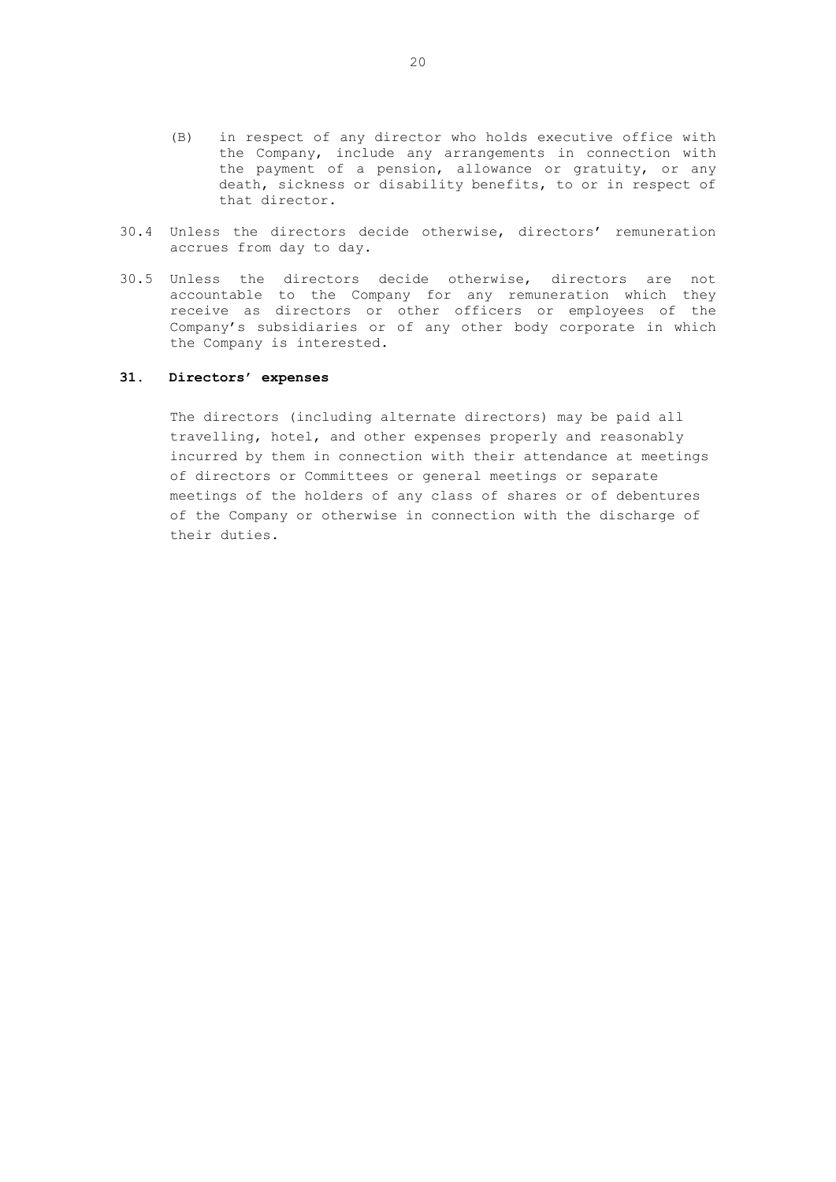- (B) in respect of any director who holds executive office with the Company, include any arrangements in connection with the payment of a pension, allowance or gratuity, or any death, sickness or disability benefits, to or in respect of that director.
- 30.4 Unless the directors decide otherwise, directors' remuneration accrues from day to day.
- 30.5 Unless the directors decide otherwise, directors are not accountable to the Company for any remuneration which they receive as directors or other officers or employees of the Company's subsidiaries or of any other body corporate in which the Company is interested.

### **31. Directors' expenses**

The directors (including alternate directors) may be paid all travelling, hotel, and other expenses properly and reasonably incurred by them in connection with their attendance at meetings of directors or Committees or general meetings or separate meetings of the holders of any class of shares or of debentures of the Company or otherwise in connection with the discharge of their duties.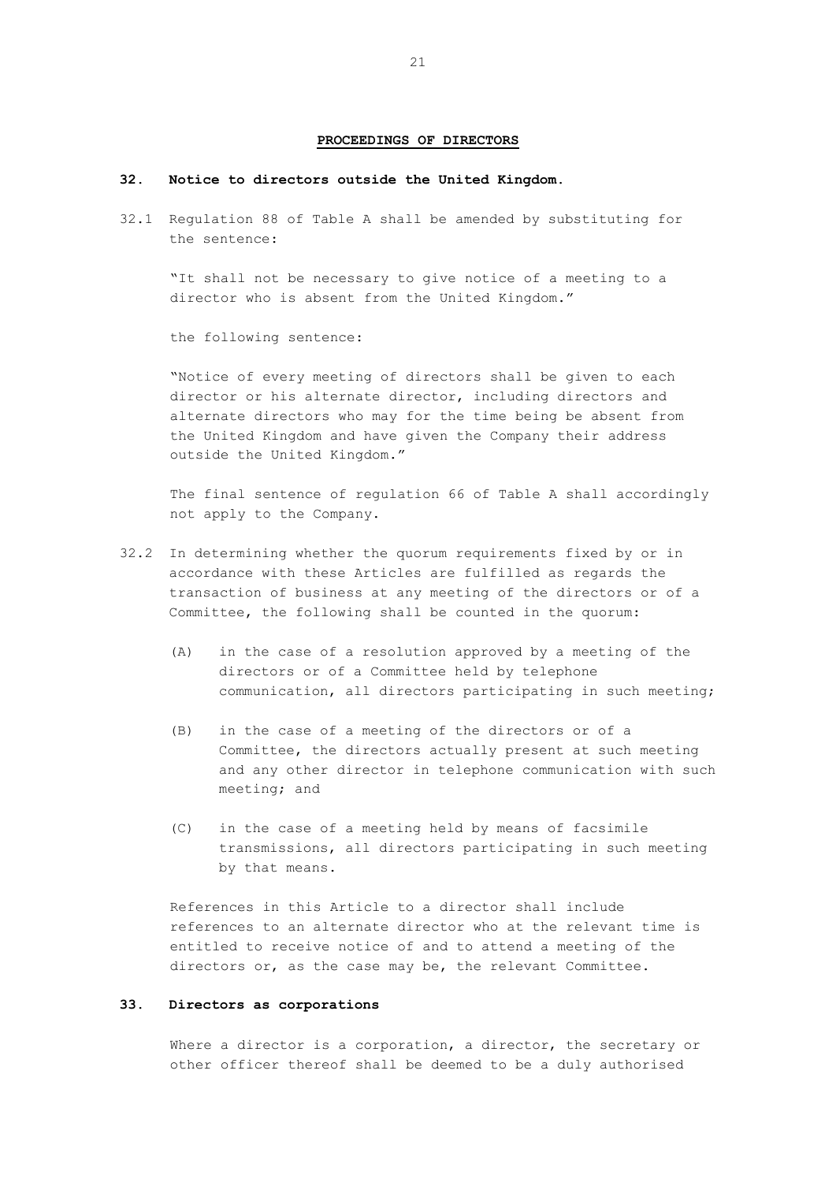#### **PROCEEDINGS OF DIRECTORS**

## **32. Notice to directors outside the United Kingdom.**

32.1 Regulation 88 of Table A shall be amended by substituting for the sentence:

"It shall not be necessary to give notice of a meeting to a director who is absent from the United Kingdom."

the following sentence:

"Notice of every meeting of directors shall be given to each director or his alternate director, including directors and alternate directors who may for the time being be absent from the United Kingdom and have given the Company their address outside the United Kingdom."

The final sentence of regulation 66 of Table A shall accordingly not apply to the Company.

- 32.2 In determining whether the quorum requirements fixed by or in accordance with these Articles are fulfilled as regards the transaction of business at any meeting of the directors or of a Committee, the following shall be counted in the quorum:
	- (A) in the case of a resolution approved by a meeting of the directors or of a Committee held by telephone communication, all directors participating in such meeting;
	- (B) in the case of a meeting of the directors or of a Committee, the directors actually present at such meeting and any other director in telephone communication with such meeting; and
	- (C) in the case of a meeting held by means of facsimile transmissions, all directors participating in such meeting by that means.

References in this Article to a director shall include references to an alternate director who at the relevant time is entitled to receive notice of and to attend a meeting of the directors or, as the case may be, the relevant Committee.

# **33. Directors as corporations**

Where a director is a corporation, a director, the secretary or other officer thereof shall be deemed to be a duly authorised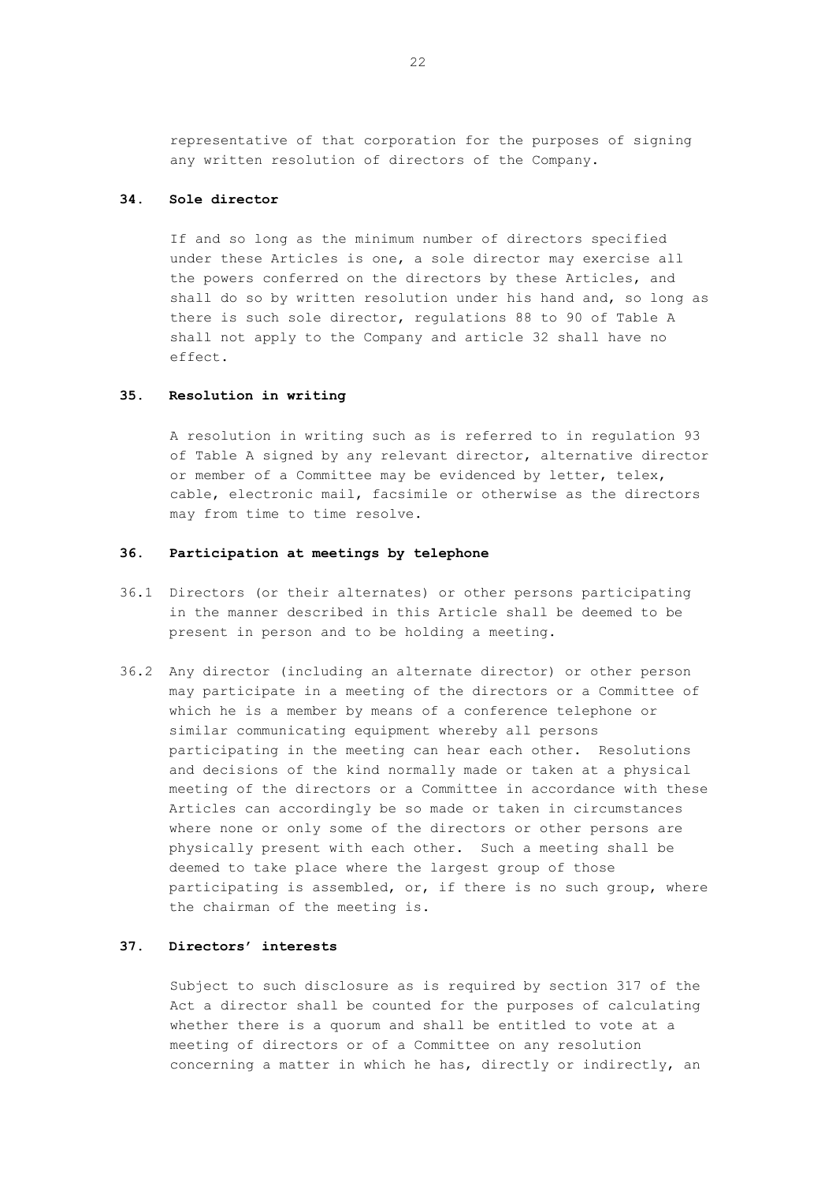representative of that corporation for the purposes of signing any written resolution of directors of the Company.

# **34. Sole director**

If and so long as the minimum number of directors specified under these Articles is one, a sole director may exercise all the powers conferred on the directors by these Articles, and shall do so by written resolution under his hand and, so long as there is such sole director, regulations 88 to 90 of Table A shall not apply to the Company and article 32 shall have no effect.

## **35. Resolution in writing**

A resolution in writing such as is referred to in regulation 93 of Table A signed by any relevant director, alternative director or member of a Committee may be evidenced by letter, telex, cable, electronic mail, facsimile or otherwise as the directors may from time to time resolve.

### **36. Participation at meetings by telephone**

- 36.1 Directors (or their alternates) or other persons participating in the manner described in this Article shall be deemed to be present in person and to be holding a meeting.
- 36.2 Any director (including an alternate director) or other person may participate in a meeting of the directors or a Committee of which he is a member by means of a conference telephone or similar communicating equipment whereby all persons participating in the meeting can hear each other. Resolutions and decisions of the kind normally made or taken at a physical meeting of the directors or a Committee in accordance with these Articles can accordingly be so made or taken in circumstances where none or only some of the directors or other persons are physically present with each other. Such a meeting shall be deemed to take place where the largest group of those participating is assembled, or, if there is no such group, where the chairman of the meeting is.

# **37. Directors' interests**

Subject to such disclosure as is required by section 317 of the Act a director shall be counted for the purposes of calculating whether there is a quorum and shall be entitled to vote at a meeting of directors or of a Committee on any resolution concerning a matter in which he has, directly or indirectly, an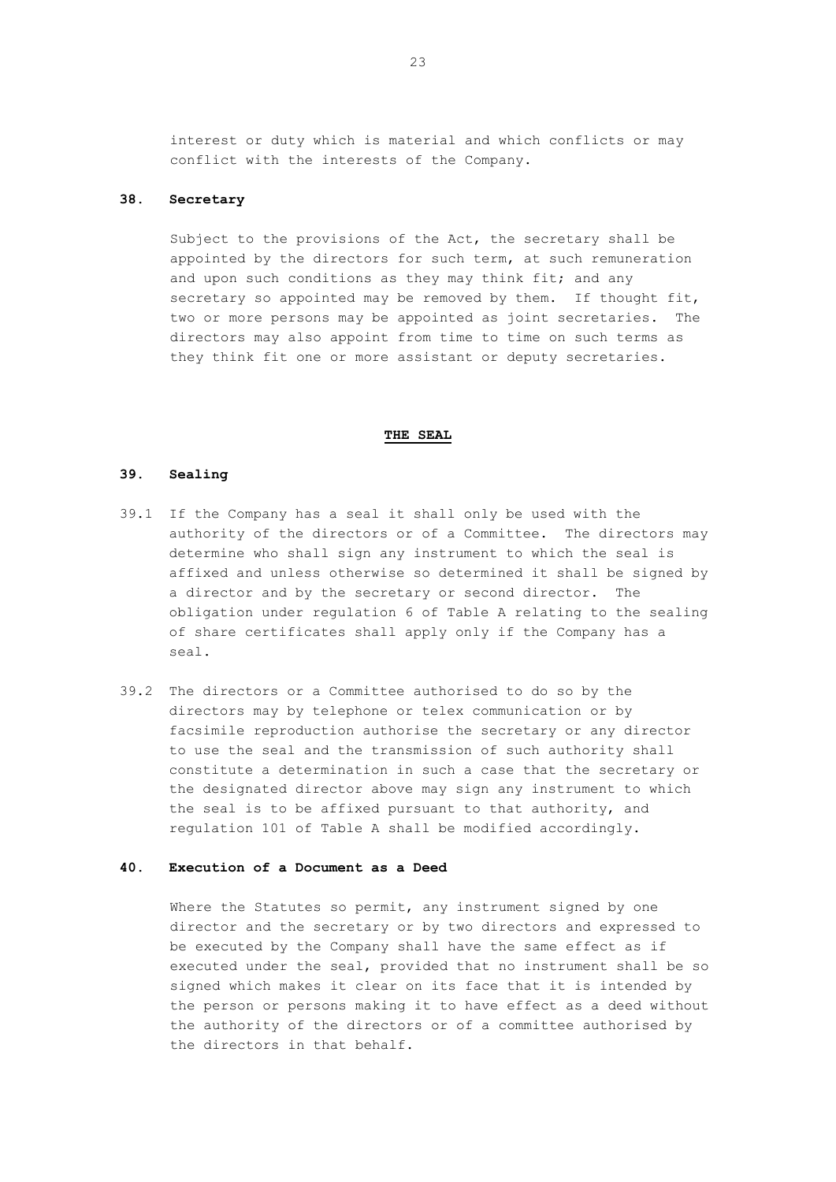interest or duty which is material and which conflicts or may conflict with the interests of the Company.

# **38. Secretary**

Subject to the provisions of the Act, the secretary shall be appointed by the directors for such term, at such remuneration and upon such conditions as they may think fit; and any secretary so appointed may be removed by them. If thought fit, two or more persons may be appointed as joint secretaries. The directors may also appoint from time to time on such terms as they think fit one or more assistant or deputy secretaries.

#### **THE SEAL**

### **39. Sealing**

- 39.1 If the Company has a seal it shall only be used with the authority of the directors or of a Committee. The directors may determine who shall sign any instrument to which the seal is affixed and unless otherwise so determined it shall be signed by a director and by the secretary or second director. The obligation under regulation 6 of Table A relating to the sealing of share certificates shall apply only if the Company has a seal.
- 39.2 The directors or a Committee authorised to do so by the directors may by telephone or telex communication or by facsimile reproduction authorise the secretary or any director to use the seal and the transmission of such authority shall constitute a determination in such a case that the secretary or the designated director above may sign any instrument to which the seal is to be affixed pursuant to that authority, and regulation 101 of Table A shall be modified accordingly.

## **40. Execution of a Document as a Deed**

Where the Statutes so permit, any instrument signed by one director and the secretary or by two directors and expressed to be executed by the Company shall have the same effect as if executed under the seal, provided that no instrument shall be so signed which makes it clear on its face that it is intended by the person or persons making it to have effect as a deed without the authority of the directors or of a committee authorised by the directors in that behalf.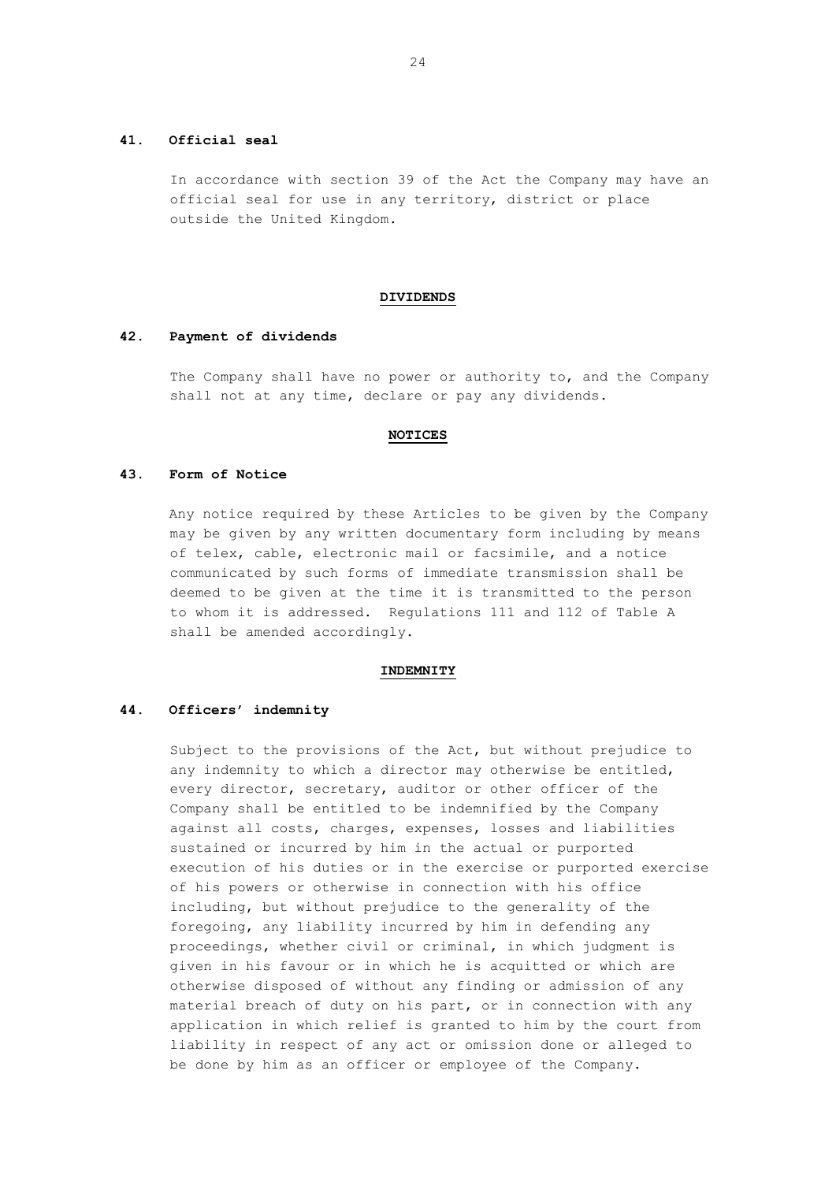### **41. Official seal**

In accordance with section 39 of the Act the Company may have an official seal for use in any territory, district or place outside the United Kingdom.

#### **DIVIDENDS**

#### **42. Payment of dividends**

The Company shall have no power or authority to, and the Company shall not at any time, declare or pay any dividends.

### **NOTICES**

## **43. Form of Notice**

Any notice required by these Articles to be given by the Company may be given by any written documentary form including by means of telex, cable, electronic mail or facsimile, and a notice communicated by such forms of immediate transmission shall be deemed to be given at the time it is transmitted to the person to whom it is addressed. Regulations 111 and 112 of Table A shall be amended accordingly.

#### **INDEMNITY**

### **44. Officers' indemnity**

Subject to the provisions of the Act, but without prejudice to any indemnity to which a director may otherwise be entitled, every director, secretary, auditor or other officer of the Company shall be entitled to be indemnified by the Company against all costs, charges, expenses, losses and liabilities sustained or incurred by him in the actual or purported execution of his duties or in the exercise or purported exercise of his powers or otherwise in connection with his office including, but without prejudice to the generality of the foregoing, any liability incurred by him in defending any proceedings, whether civil or criminal, in which judgment is given in his favour or in which he is acquitted or which are otherwise disposed of without any finding or admission of any material breach of duty on his part, or in connection with any application in which relief is granted to him by the court from liability in respect of any act or omission done or alleged to be done by him as an officer or employee of the Company.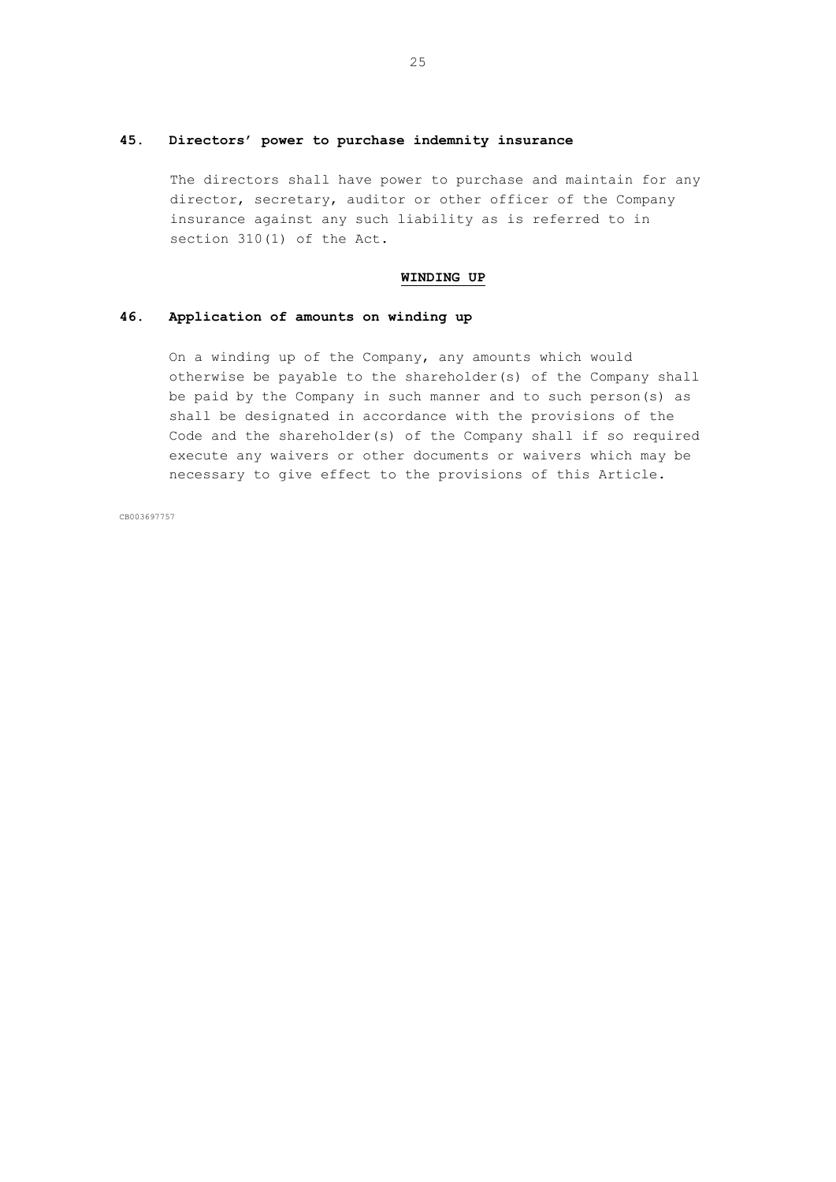# **45. Directors' power to purchase indemnity insurance**

The directors shall have power to purchase and maintain for any director, secretary, auditor or other officer of the Company insurance against any such liability as is referred to in section 310(1) of the Act.

### **WINDING UP**

## **46. Application of amounts on winding up**

On a winding up of the Company, any amounts which would otherwise be payable to the shareholder(s) of the Company shall be paid by the Company in such manner and to such person(s) as shall be designated in accordance with the provisions of the Code and the shareholder(s) of the Company shall if so required execute any waivers or other documents or waivers which may be necessary to give effect to the provisions of this Article.

CB003697757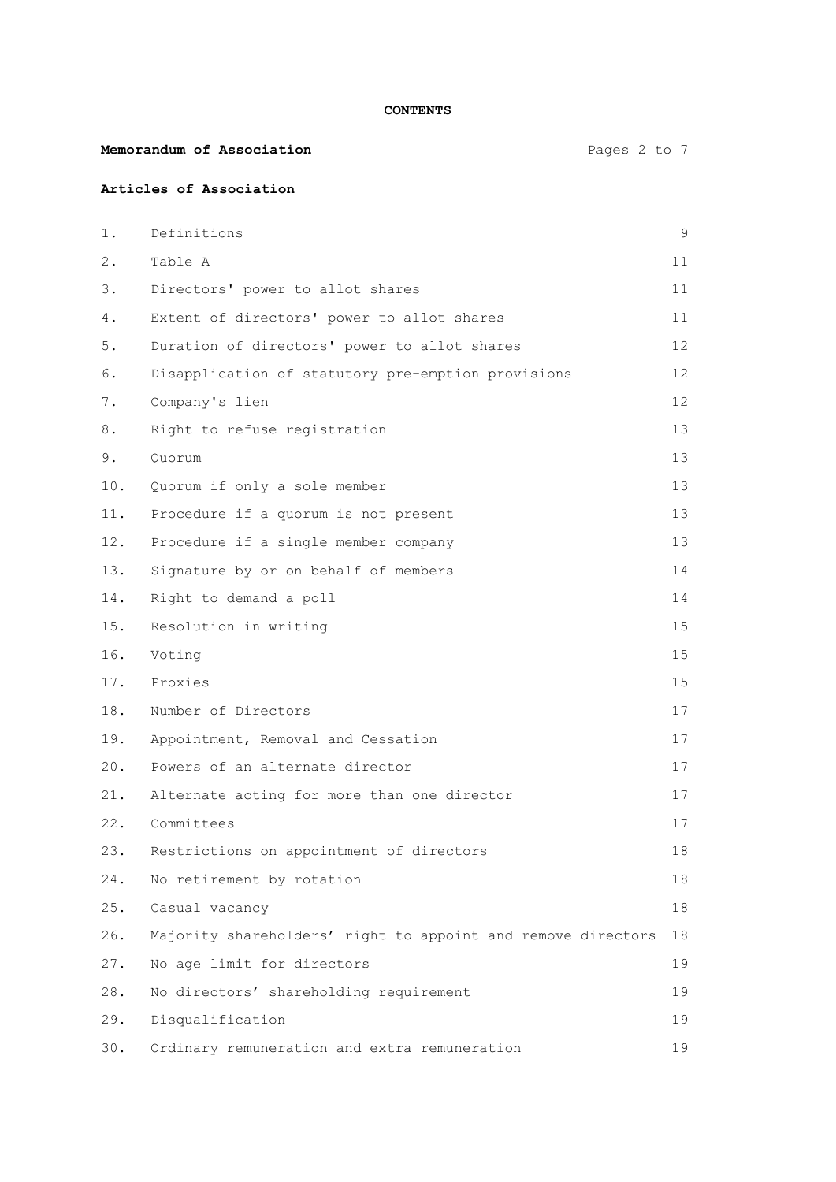**CONTENTS**

| Pages 2 to 7<br>Memorandum of Association |  |  |
|-------------------------------------------|--|--|
|-------------------------------------------|--|--|

# **Articles of Association**

| 1.    | Definitions                                                  | 9               |
|-------|--------------------------------------------------------------|-----------------|
| $2$ . | Table A                                                      | 11              |
| 3.    | Directors' power to allot shares                             | 11              |
| 4.    | Extent of directors' power to allot shares                   | 11              |
| 5.    | Duration of directors' power to allot shares                 | 12              |
| 6.    | Disapplication of statutory pre-emption provisions           | 12 <sup>°</sup> |
| $7$ . | Company's lien                                               | 12 <sup>°</sup> |
| 8.    | Right to refuse registration                                 | 13              |
| 9.    | Quorum                                                       | 13              |
| 10.   | Quorum if only a sole member                                 | 13              |
| 11.   | Procedure if a quorum is not present                         | 13              |
| 12.   | Procedure if a single member company                         | 13              |
| 13.   | Signature by or on behalf of members                         | 14              |
| 14.   | Right to demand a poll                                       | 14              |
| 15.   | Resolution in writing                                        | 15              |
| 16.   | Voting                                                       | 15              |
| 17.   | Proxies                                                      | 15              |
| 18.   | Number of Directors                                          | 17              |
| 19.   | Appointment, Removal and Cessation                           | 17              |
| 20.   | Powers of an alternate director                              | 17              |
| 21.   | Alternate acting for more than one director                  | 17              |
| 22.   | Committees                                                   | 17              |
|       | 23. Restrictions on appointment of directors                 | 18              |
| 24.   | No retirement by rotation                                    | 18              |
| 25.   | Casual vacancy                                               | 18              |
| 26.   | Majority shareholders' right to appoint and remove directors | 18              |
| 27.   | No age limit for directors                                   | 19              |
| 28.   | No directors' shareholding requirement                       | 19              |
| 29.   | Disqualification                                             | 19              |
| 30.   | Ordinary remuneration and extra remuneration                 | 19              |